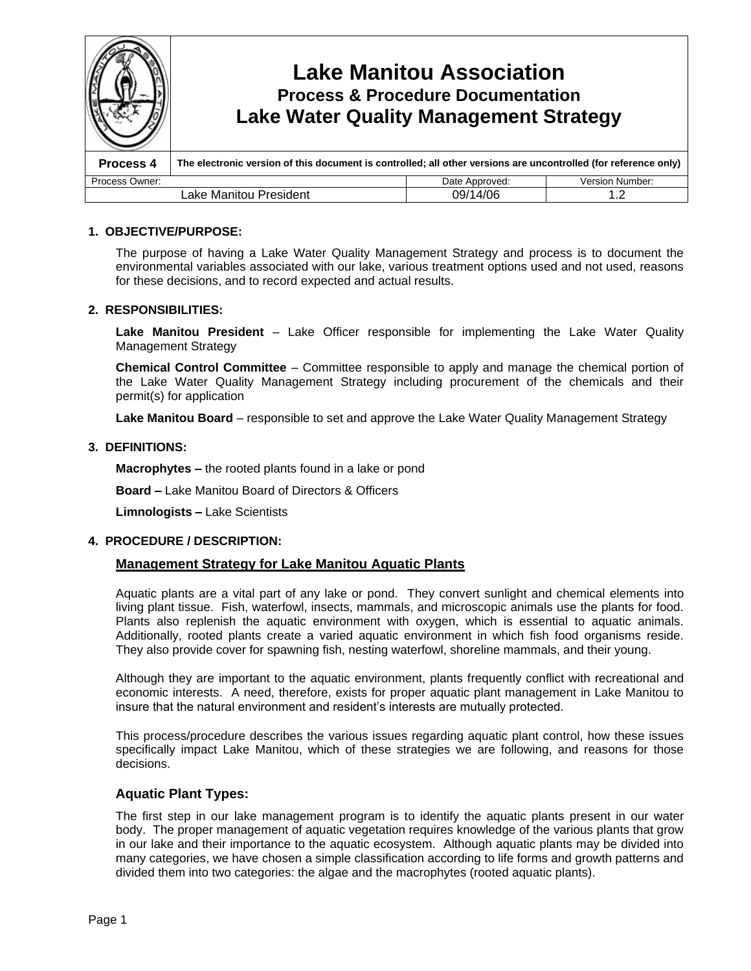

#### **1. OBJECTIVE/PURPOSE:**

The purpose of having a Lake Water Quality Management Strategy and process is to document the environmental variables associated with our lake, various treatment options used and not used, reasons for these decisions, and to record expected and actual results.

#### **2. RESPONSIBILITIES:**

**Lake Manitou President** – Lake Officer responsible for implementing the Lake Water Quality Management Strategy

**Chemical Control Committee** – Committee responsible to apply and manage the chemical portion of the Lake Water Quality Management Strategy including procurement of the chemicals and their permit(s) for application

**Lake Manitou Board** – responsible to set and approve the Lake Water Quality Management Strategy

#### **3. DEFINITIONS:**

**Macrophytes –**the rooted plants found in a lake or pond

**Board –**Lake Manitou Board of Directors & Officers

**Limnologists –**Lake Scientists

#### **4. PROCEDURE / DESCRIPTION:**

#### **Management Strategy for Lake Manitou Aquatic Plants**

Aquatic plants are a vital part of any lake or pond. They convert sunlight and chemical elements into living plant tissue. Fish, waterfowl, insects, mammals, and microscopic animals use the plants for food. Plants also replenish the aquatic environment with oxygen, which is essential to aquatic animals. Additionally, rooted plants create a varied aquatic environment in which fish food organisms reside. They also provide cover for spawning fish, nesting waterfowl, shoreline mammals, and their young.

Although they are important to the aquatic environment, plants frequently conflict with recreational and economic interests. A need, therefore, exists for proper aquatic plant management in Lake Manitou to insure that the natural environment and resident's interests are mutually protected.

This process/procedure describes the various issues regarding aquatic plant control, how these issues specifically impact Lake Manitou, which of these strategies we are following, and reasons for those decisions.

#### **Aquatic Plant Types:**

The first step in our lake management program is to identify the aquatic plants present in our water body. The proper management of aquatic vegetation requires knowledge of the various plants that grow in our lake and their importance to the aquatic ecosystem. Although aquatic plants may be divided into many categories, we have chosen a simple classification according to life forms and growth patterns and divided them into two categories: the algae and the macrophytes (rooted aquatic plants).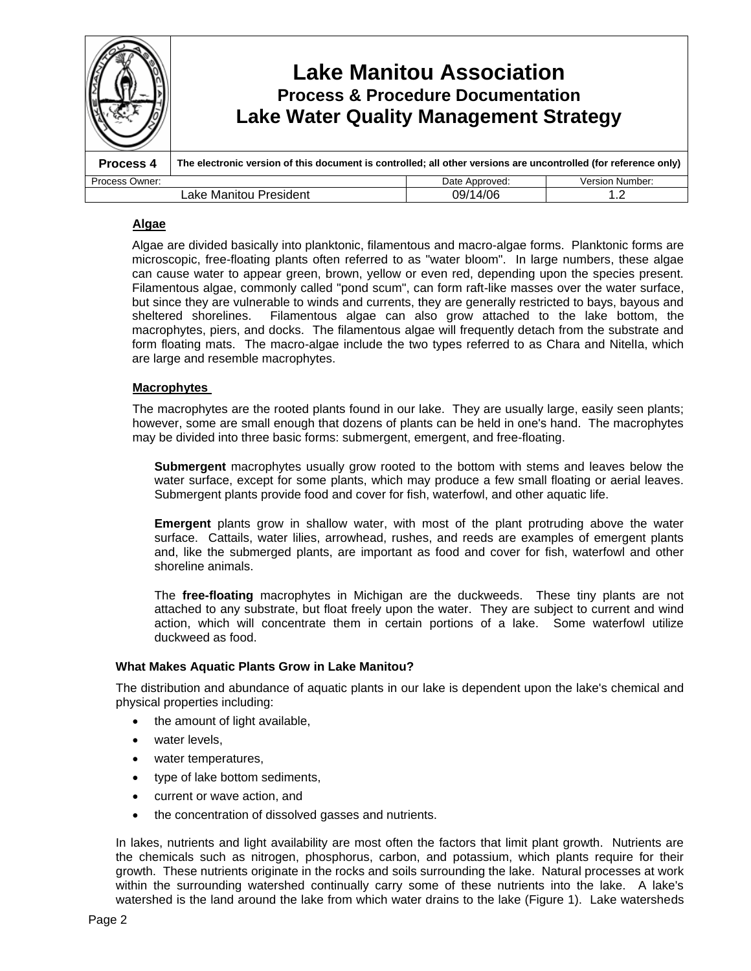|                                           | <b>Lake Water Quality Management Strategy</b>                                                                   | <b>Lake Manitou Association</b><br><b>Process &amp; Procedure Documentation</b> |                        |
|-------------------------------------------|-----------------------------------------------------------------------------------------------------------------|---------------------------------------------------------------------------------|------------------------|
| Process 4                                 | The electronic version of this document is controlled; all other versions are uncontrolled (for reference only) |                                                                                 |                        |
| Process Owner:                            |                                                                                                                 | Date Approved:                                                                  | <b>Version Number:</b> |
| 09/14/06<br>Lake Manitou President<br>1.2 |                                                                                                                 |                                                                                 |                        |

#### **Algae**

Algae are divided basically into planktonic, filamentous and macro-algae forms. Planktonic forms are microscopic, free-floating plants often referred to as "water bloom". In large numbers, these algae can cause water to appear green, brown, yellow or even red, depending upon the species present. Filamentous algae, commonly called "pond scum", can form raft-like masses over the water surface, but since they are vulnerable to winds and currents, they are generally restricted to bays, bayous and sheltered shorelines. Filamentous algae can also grow attached to the lake bottom, the macrophytes, piers, and docks. The filamentous algae will frequently detach from the substrate and form floating mats. The macro-algae include the two types referred to as Chara and Nitella, which are large and resemble macrophytes.

#### **Macrophytes**

The macrophytes are the rooted plants found in our lake. They are usually large, easily seen plants; however, some are small enough that dozens of plants can be held in one's hand. The macrophytes may be divided into three basic forms: submergent, emergent, and free-floating.

**Submergent** macrophytes usually grow rooted to the bottom with stems and leaves below the water surface, except for some plants, which may produce a few small floating or aerial leaves. Submergent plants provide food and cover for fish, waterfowl, and other aquatic life.

**Emergent** plants grow in shallow water, with most of the plant protruding above the water surface. Cattails, water lilies, arrowhead, rushes, and reeds are examples of emergent plants and, like the submerged plants, are important as food and cover for fish, waterfowl and other shoreline animals.

The **free-floating** macrophytes in Michigan are the duckweeds. These tiny plants are not attached to any substrate, but float freely upon the water. They are subject to current and wind action, which will concentrate them in certain portions of a lake. Some waterfowl utilize duckweed as food.

#### **What Makes Aquatic Plants Grow in Lake Manitou?**

The distribution and abundance of aquatic plants in our lake is dependent upon the lake's chemical and physical properties including:

- the amount of light available,
- water levels,
- water temperatures,
- type of lake bottom sediments,
- current or wave action, and
- the concentration of dissolved gasses and nutrients.

In lakes, nutrients and light availability are most often the factors that limit plant growth. Nutrients are the chemicals such as nitrogen, phosphorus, carbon, and potassium, which plants require for their growth. These nutrients originate in the rocks and soils surrounding the lake. Natural processes at work within the surrounding watershed continually carry some of these nutrients into the lake. A lake's watershed is the land around the lake from which water drains to the lake (Figure 1). Lake watersheds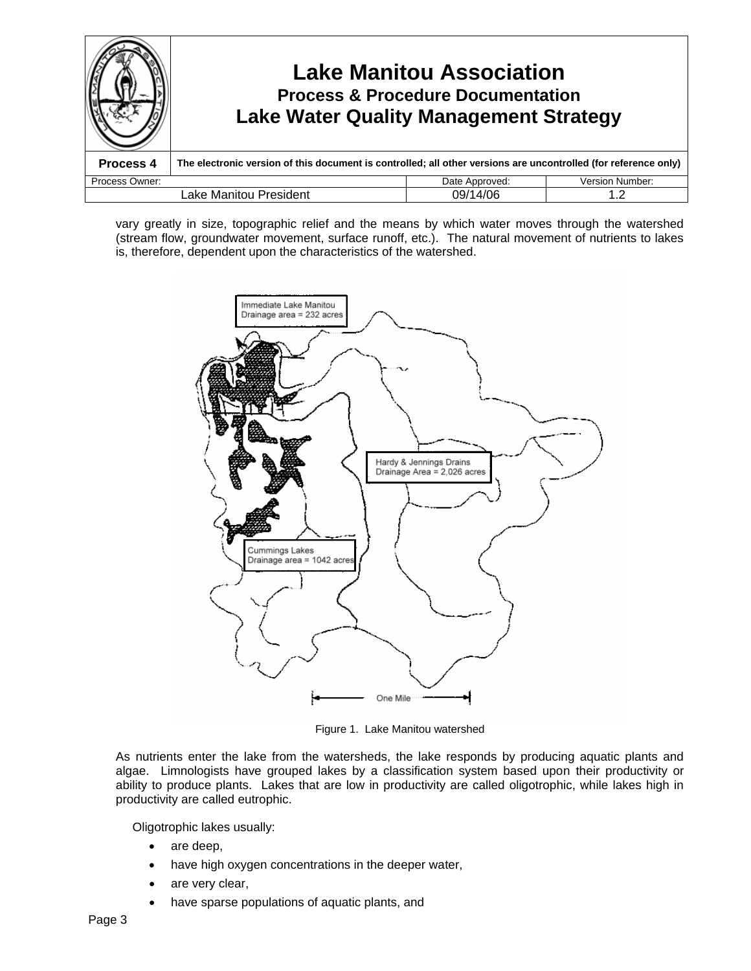

vary greatly in size, topographic relief and the means by which water moves through the watershed (stream flow, groundwater movement, surface runoff, etc.). The natural movement of nutrients to lakes is, therefore, dependent upon the characteristics of the watershed.



Figure 1. Lake Manitou watershed

As nutrients enter the lake from the watersheds, the lake responds by producing aquatic plants and algae. Limnologists have grouped lakes by a classification system based upon their productivity or ability to produce plants. Lakes that are low in productivity are called oligotrophic, while lakes high in productivity are called eutrophic.

Oligotrophic lakes usually:

- are deep,
- have high oxygen concentrations in the deeper water,
- are very clear,
- have sparse populations of aquatic plants, and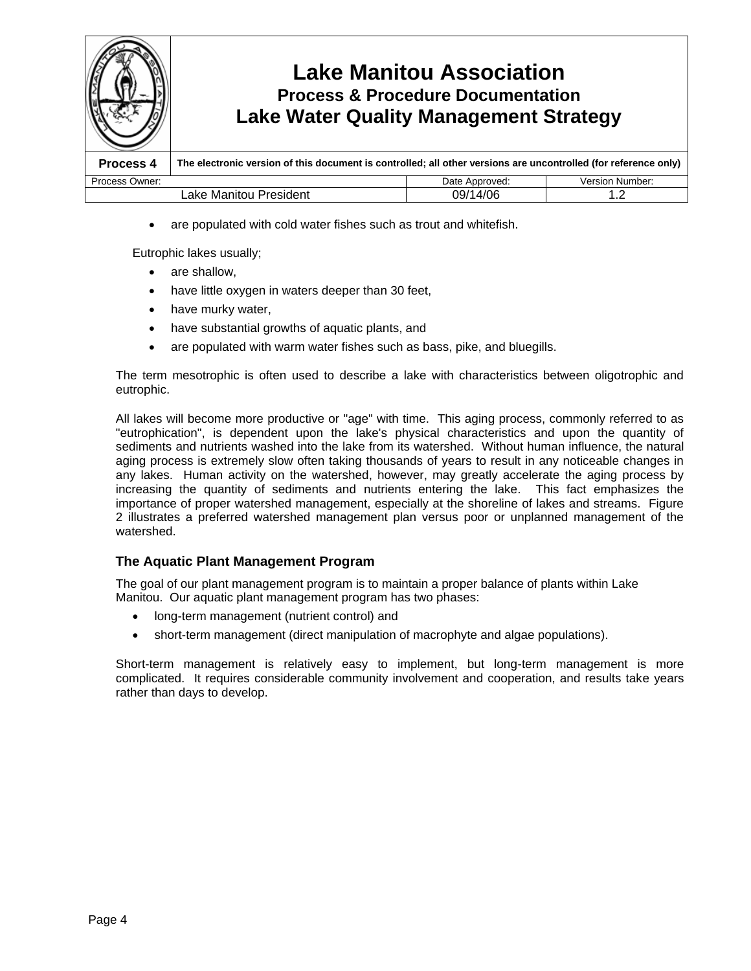

are populated with cold water fishes such as trout and whitefish.

Eutrophic lakes usually;

- are shallow,
- have little oxygen in waters deeper than 30 feet,
- have murky water,
- have substantial growths of aquatic plants, and
- are populated with warm water fishes such as bass, pike, and bluegills.

The term mesotrophic is often used to describe a lake with characteristics between oligotrophic and eutrophic.

All lakes will become more productive or "age" with time. This aging process, commonly referred to as "eutrophication", is dependent upon the lake's physical characteristics and upon the quantity of sediments and nutrients washed into the lake from its watershed. Without human influence, the natural aging process is extremely slow often taking thousands of years to result in any noticeable changes in any lakes. Human activity on the watershed, however, may greatly accelerate the aging process by increasing the quantity of sediments and nutrients entering the lake. This fact emphasizes the importance of proper watershed management, especially at the shoreline of lakes and streams. Figure 2 illustrates a preferred watershed management plan versus poor or unplanned management of the watershed.

## **The Aquatic Plant Management Program**

The goal of our plant management program is to maintain a proper balance of plants within Lake Manitou. Our aquatic plant management program has two phases:

- long-term management (nutrient control) and
- short-term management (direct manipulation of macrophyte and algae populations).

Short-term management is relatively easy to implement, but long-term management is more complicated. It requires considerable community involvement and cooperation, and results take years rather than days to develop.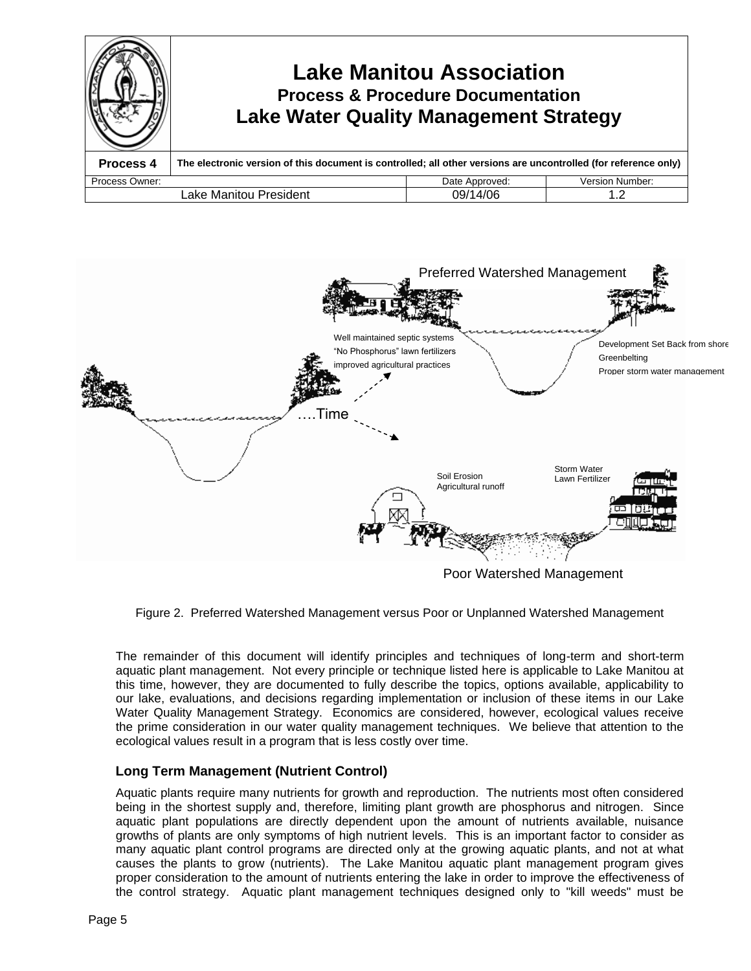



Figure 2. Preferred Watershed Management versus Poor or Unplanned Watershed Management

The remainder of this document will identify principles and techniques of long-term and short-term aquatic plant management. Not every principle or technique listed here is applicable to Lake Manitou at this time, however, they are documented to fully describe the topics, options available, applicability to our lake, evaluations, and decisions regarding implementation or inclusion of these items in our Lake Water Quality Management Strategy. Economics are considered, however, ecological values receive the prime consideration in our water quality management techniques. We believe that attention to the ecological values result in a program that is less costly over time.

## **Long Term Management (Nutrient Control)**

Aquatic plants require many nutrients for growth and reproduction. The nutrients most often considered being in the shortest supply and, therefore, limiting plant growth are phosphorus and nitrogen. Since aquatic plant populations are directly dependent upon the amount of nutrients available, nuisance growths of plants are only symptoms of high nutrient levels. This is an important factor to consider as many aquatic plant control programs are directed only at the growing aquatic plants, and not at what causes the plants to grow (nutrients). The Lake Manitou aquatic plant management program gives proper consideration to the amount of nutrients entering the lake in order to improve the effectiveness of the control strategy. Aquatic plant management techniques designed only to "kill weeds" must be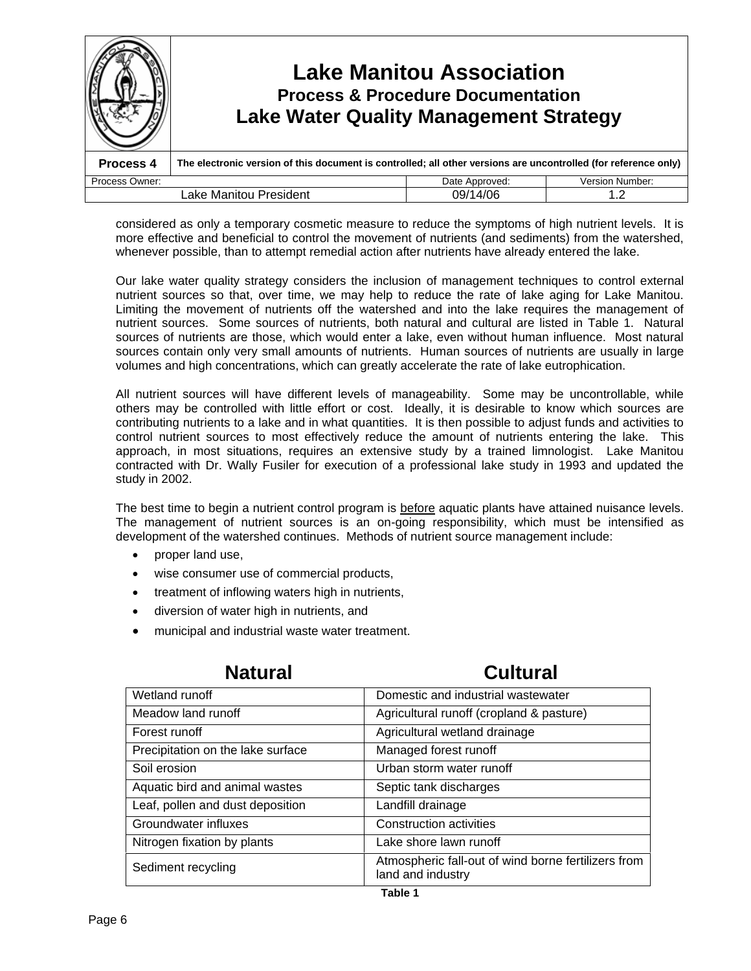

considered as only a temporary cosmetic measure to reduce the symptoms of high nutrient levels. It is more effective and beneficial to control the movement of nutrients (and sediments) from the watershed, whenever possible, than to attempt remedial action after nutrients have already entered the lake.

Our lake water quality strategy considers the inclusion of management techniques to control external nutrient sources so that, over time, we may help to reduce the rate of lake aging for Lake Manitou. Limiting the movement of nutrients off the watershed and into the lake requires the management of nutrient sources. Some sources of nutrients, both natural and cultural are listed in Table 1. Natural sources of nutrients are those, which would enter a lake, even without human influence. Most natural sources contain only very small amounts of nutrients. Human sources of nutrients are usually in large volumes and high concentrations, which can greatly accelerate the rate of lake eutrophication.

All nutrient sources will have different levels of manageability. Some may be uncontrollable, while others may be controlled with little effort or cost. Ideally, it is desirable to know which sources are contributing nutrients to a lake and in what quantities. It is then possible to adjust funds and activities to control nutrient sources to most effectively reduce the amount of nutrients entering the lake. This approach, in most situations, requires an extensive study by a trained limnologist. Lake Manitou contracted with Dr. Wally Fusiler for execution of a professional lake study in 1993 and updated the study in 2002.

The best time to begin a nutrient control program is before aquatic plants have attained nuisance levels. The management of nutrient sources is an on-going responsibility, which must be intensified as development of the watershed continues. Methods of nutrient source management include:

- proper land use,
- wise consumer use of commercial products,
- treatment of inflowing waters high in nutrients,
- diversion of water high in nutrients, and
- municipal and industrial waste water treatment.

| nauaran                           | vultul 41                                                                |
|-----------------------------------|--------------------------------------------------------------------------|
| Wetland runoff                    | Domestic and industrial wastewater                                       |
| Meadow land runoff                | Agricultural runoff (cropland & pasture)                                 |
| Forest runoff                     | Agricultural wetland drainage                                            |
| Precipitation on the lake surface | Managed forest runoff                                                    |
| Soil erosion                      | Urban storm water runoff                                                 |
| Aquatic bird and animal wastes    | Septic tank discharges                                                   |
| Leaf, pollen and dust deposition  | Landfill drainage                                                        |
| Groundwater influxes              | <b>Construction activities</b>                                           |
| Nitrogen fixation by plants       | Lake shore lawn runoff                                                   |
| Sediment recycling                | Atmospheric fall-out of wind borne fertilizers from<br>land and industry |
|                                   |                                                                          |

## **Natural Cultural**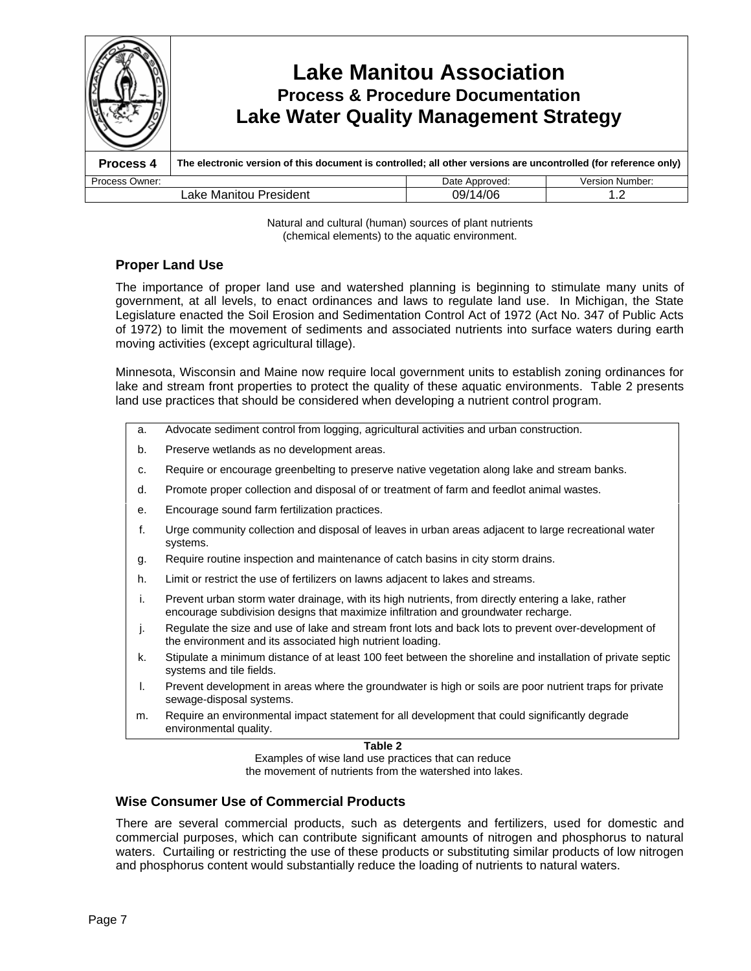

Natural and cultural (human) sources of plant nutrients (chemical elements) to the aquatic environment.

## **Proper Land Use**

The importance of proper land use and watershed planning is beginning to stimulate many units of government, at all levels, to enact ordinances and laws to regulate land use. In Michigan, the State Legislature enacted the Soil Erosion and Sedimentation Control Act of 1972 (Act No. 347 of Public Acts of 1972) to limit the movement of sediments and associated nutrients into surface waters during earth moving activities (except agricultural tillage).

Minnesota, Wisconsin and Maine now require local government units to establish zoning ordinances for lake and stream front properties to protect the quality of these aquatic environments. Table 2 presents land use practices that should be considered when developing a nutrient control program.

- a. Advocate sediment control from logging, agricultural activities and urban construction.
- b. Preserve wetlands as no development areas.
- c. Require or encourage greenbelting to preserve native vegetation along lake and stream banks.
- d. Promote proper collection and disposal of or treatment of farm and feedlot animal wastes.
- e. Encourage sound farm fertilization practices.
- f. Urge community collection and disposal of leaves in urban areas adjacent to large recreational water systems.
- g. Require routine inspection and maintenance of catch basins in city storm drains.
- h. Limit or restrict the use of fertilizers on lawns adjacent to lakes and streams.
- i. Prevent urban storm water drainage, with its high nutrients, from directly entering a lake, rather encourage subdivision designs that maximize infiltration and groundwater recharge.
- j. Regulate the size and use of lake and stream front lots and back lots to prevent over-development of the environment and its associated high nutrient loading.
- k. Stipulate a minimum distance of at least 100 feet between the shoreline and installation of private septic systems and tile fields.
- l. Prevent development in areas where the groundwater is high or soils are poor nutrient traps for private sewage-disposal systems.
- m. Require an environmental impact statement for all development that could significantly degrade environmental quality.

**Table 2**

Examples of wise land use practices that can reduce the movement of nutrients from the watershed into lakes.

## **Wise Consumer Use of Commercial Products**

There are several commercial products, such as detergents and fertilizers, used for domestic and commercial purposes, which can contribute significant amounts of nitrogen and phosphorus to natural waters. Curtailing or restricting the use of these products or substituting similar products of low nitrogen and phosphorus content would substantially reduce the loading of nutrients to natural waters.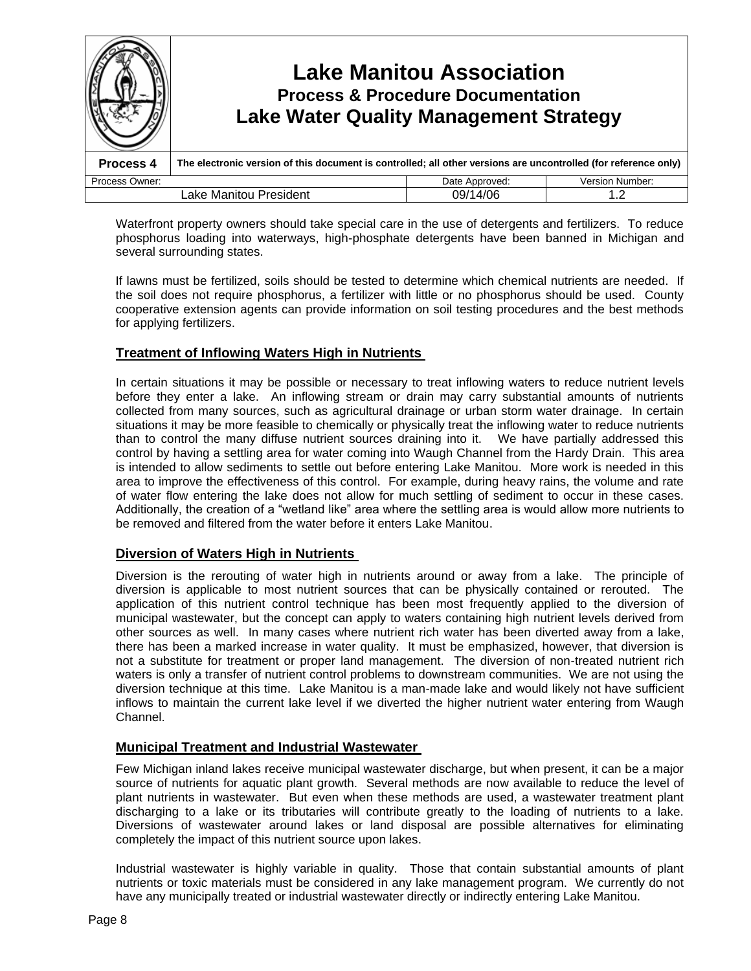

Waterfront property owners should take special care in the use of detergents and fertilizers. To reduce phosphorus loading into waterways, high-phosphate detergents have been banned in Michigan and several surrounding states.

If lawns must be fertilized, soils should be tested to determine which chemical nutrients are needed. If the soil does not require phosphorus, a fertilizer with little or no phosphorus should be used. County cooperative extension agents can provide information on soil testing procedures and the best methods for applying fertilizers.

## **Treatment of Inflowing Waters High in Nutrients**

In certain situations it may be possible or necessary to treat inflowing waters to reduce nutrient levels before they enter a lake. An inflowing stream or drain may carry substantial amounts of nutrients collected from many sources, such as agricultural drainage or urban storm water drainage. In certain situations it may be more feasible to chemically or physically treat the inflowing water to reduce nutrients than to control the many diffuse nutrient sources draining into it. We have partially addressed this control by having a settling area for water coming into Waugh Channel from the Hardy Drain. This area is intended to allow sediments to settle out before entering Lake Manitou. More work is needed in this area to improve the effectiveness of this control. For example, during heavy rains, the volume and rate of water flow entering the lake does not allow for much settling of sediment to occur in these cases. Additionally, the creation of a "wetland like" area where the settling area is would allow more nutrients to be removed and filtered from the water before it enters Lake Manitou.

## **Diversion of Waters High in Nutrients**

Diversion is the rerouting of water high in nutrients around or away from a lake. The principle of diversion is applicable to most nutrient sources that can be physically contained or rerouted. The application of this nutrient control technique has been most frequently applied to the diversion of municipal wastewater, but the concept can apply to waters containing high nutrient levels derived from other sources as well. In many cases where nutrient rich water has been diverted away from a lake, there has been a marked increase in water quality. It must be emphasized, however, that diversion is not a substitute for treatment or proper land management. The diversion of non-treated nutrient rich waters is only a transfer of nutrient control problems to downstream communities. We are not using the diversion technique at this time. Lake Manitou is a man-made lake and would likely not have sufficient inflows to maintain the current lake level if we diverted the higher nutrient water entering from Waugh Channel.

## **Municipal Treatment and Industrial Wastewater**

Few Michigan inland lakes receive municipal wastewater discharge, but when present, it can be a major source of nutrients for aquatic plant growth. Several methods are now available to reduce the level of plant nutrients in wastewater. But even when these methods are used, a wastewater treatment plant discharging to a lake or its tributaries will contribute greatly to the loading of nutrients to a lake. Diversions of wastewater around lakes or land disposal are possible alternatives for eliminating completely the impact of this nutrient source upon lakes.

Industrial wastewater is highly variable in quality. Those that contain substantial amounts of plant nutrients or toxic materials must be considered in any lake management program. We currently do not have any municipally treated or industrial wastewater directly or indirectly entering Lake Manitou.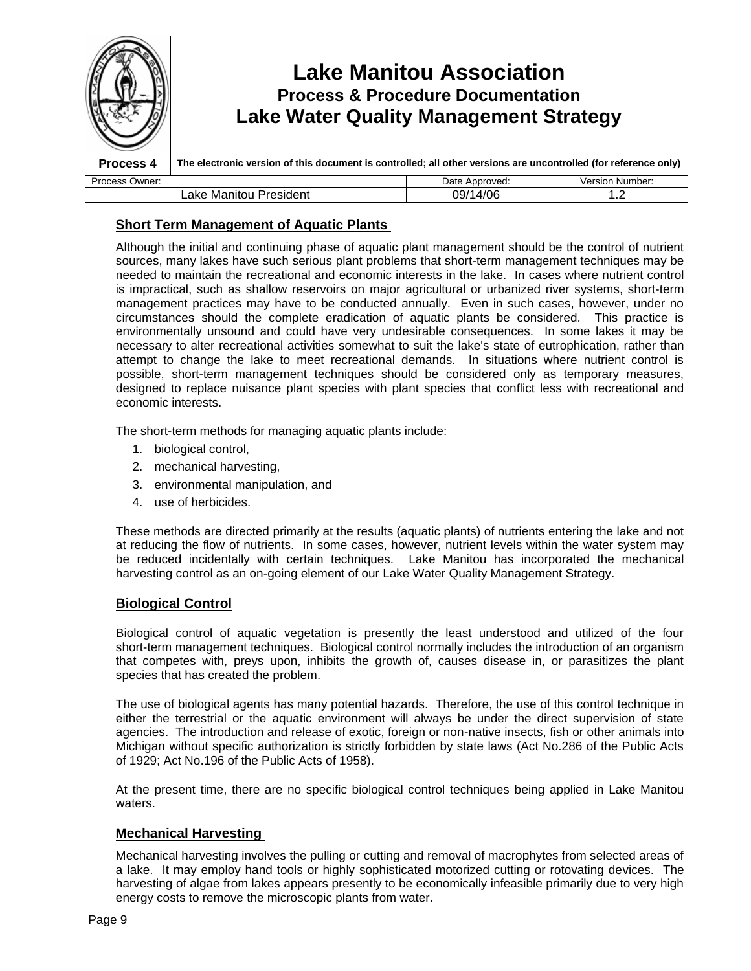|                                           |                                                                                                                 | <b>Lake Manitou Association</b><br><b>Process &amp; Procedure Documentation</b><br><b>Lake Water Quality Management Strategy</b> |                 |  |
|-------------------------------------------|-----------------------------------------------------------------------------------------------------------------|----------------------------------------------------------------------------------------------------------------------------------|-----------------|--|
| Process 4                                 | The electronic version of this document is controlled; all other versions are uncontrolled (for reference only) |                                                                                                                                  |                 |  |
| Process Owner:                            |                                                                                                                 | Date Approved:                                                                                                                   | Version Number: |  |
| 09/14/06<br>Lake Manitou President<br>1.2 |                                                                                                                 |                                                                                                                                  |                 |  |

## **Short Term Management of Aquatic Plants**

Although the initial and continuing phase of aquatic plant management should be the control of nutrient sources, many lakes have such serious plant problems that short-term management techniques may be needed to maintain the recreational and economic interests in the lake. In cases where nutrient control is impractical, such as shallow reservoirs on major agricultural or urbanized river systems, short-term management practices may have to be conducted annually. Even in such cases, however, under no circumstances should the complete eradication of aquatic plants be considered. This practice is environmentally unsound and could have very undesirable consequences. In some lakes it may be necessary to alter recreational activities somewhat to suit the lake's state of eutrophication, rather than attempt to change the lake to meet recreational demands. In situations where nutrient control is possible, short-term management techniques should be considered only as temporary measures, designed to replace nuisance plant species with plant species that conflict less with recreational and economic interests.

The short-term methods for managing aquatic plants include:

- 1. biological control,
- 2. mechanical harvesting,
- 3. environmental manipulation, and
- 4. use of herbicides.

These methods are directed primarily at the results (aquatic plants) of nutrients entering the lake and not at reducing the flow of nutrients. In some cases, however, nutrient levels within the water system may be reduced incidentally with certain techniques. Lake Manitou has incorporated the mechanical harvesting control as an on-going element of our Lake Water Quality Management Strategy.

## **Biological Control**

Biological control of aquatic vegetation is presently the least understood and utilized of the four short-term management techniques. Biological control normally includes the introduction of an organism that competes with, preys upon, inhibits the growth of, causes disease in, or parasitizes the plant species that has created the problem.

The use of biological agents has many potential hazards. Therefore, the use of this control technique in either the terrestrial or the aquatic environment will always be under the direct supervision of state agencies. The introduction and release of exotic, foreign or non-native insects, fish or other animals into Michigan without specific authorization is strictly forbidden by state laws (Act No.286 of the Public Acts of 1929; Act No.196 of the Public Acts of 1958).

At the present time, there are no specific biological control techniques being applied in Lake Manitou waters.

## **Mechanical Harvesting**

Mechanical harvesting involves the pulling or cutting and removal of macrophytes from selected areas of a lake. It may employ hand tools or highly sophisticated motorized cutting or rotovating devices. The harvesting of algae from lakes appears presently to be economically infeasible primarily due to very high energy costs to remove the microscopic plants from water.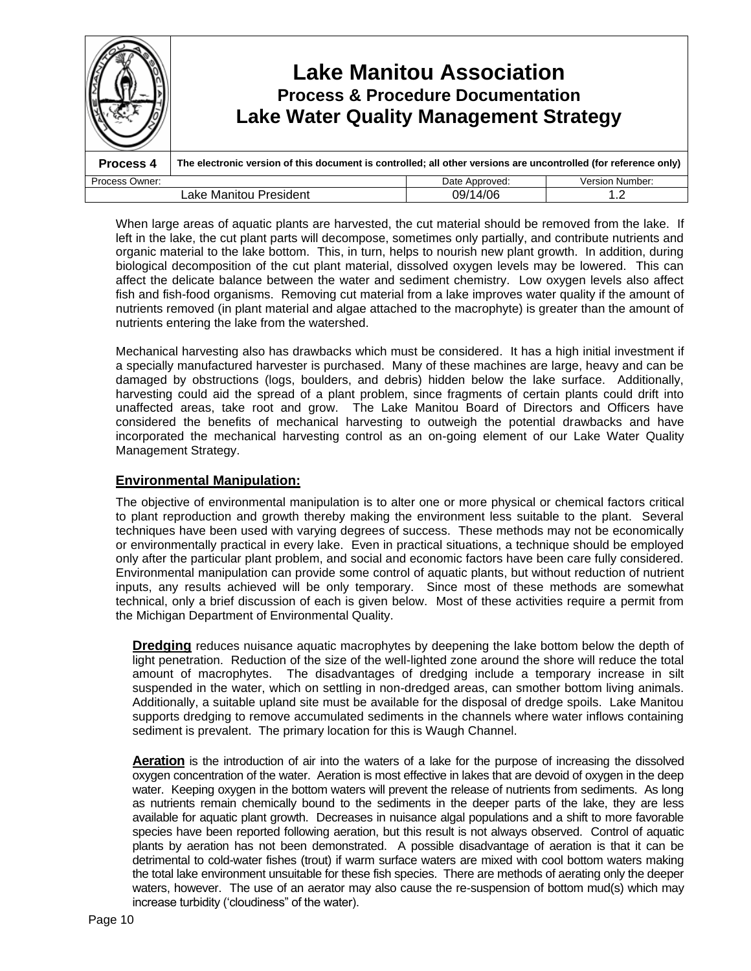|                                          | <b>Lake Manitou Association</b><br><b>Process &amp; Procedure Documentation</b><br><b>Lake Water Quality Management Strategy</b> |                |                        |
|------------------------------------------|----------------------------------------------------------------------------------------------------------------------------------|----------------|------------------------|
| Process 4                                | The electronic version of this document is controlled; all other versions are uncontrolled (for reference only)                  |                |                        |
| Process Owner:                           |                                                                                                                                  | Date Approved: | <b>Version Number:</b> |
| 09/14/06<br>Lake Manitou President<br>12 |                                                                                                                                  |                |                        |

When large areas of aquatic plants are harvested, the cut material should be removed from the lake. If left in the lake, the cut plant parts will decompose, sometimes only partially, and contribute nutrients and organic material to the lake bottom. This, in turn, helps to nourish new plant growth. In addition, during biological decomposition of the cut plant material, dissolved oxygen levels may be lowered. This can affect the delicate balance between the water and sediment chemistry. Low oxygen levels also affect fish and fish-food organisms. Removing cut material from a lake improves water quality if the amount of nutrients removed (in plant material and algae attached to the macrophyte) is greater than the amount of nutrients entering the lake from the watershed.

Mechanical harvesting also has drawbacks which must be considered. It has a high initial investment if a specially manufactured harvester is purchased. Many of these machines are large, heavy and can be damaged by obstructions (logs, boulders, and debris) hidden below the lake surface. Additionally, harvesting could aid the spread of a plant problem, since fragments of certain plants could drift into unaffected areas, take root and grow. The Lake Manitou Board of Directors and Officers have considered the benefits of mechanical harvesting to outweigh the potential drawbacks and have incorporated the mechanical harvesting control as an on-going element of our Lake Water Quality Management Strategy.

## **Environmental Manipulation:**

The objective of environmental manipulation is to alter one or more physical or chemical factors critical to plant reproduction and growth thereby making the environment less suitable to the plant. Several techniques have been used with varying degrees of success. These methods may not be economically or environmentally practical in every lake. Even in practical situations, a technique should be employed only after the particular plant problem, and social and economic factors have been care fully considered. Environmental manipulation can provide some control of aquatic plants, but without reduction of nutrient inputs, any results achieved will be only temporary. Since most of these methods are somewhat technical, only a brief discussion of each is given below. Most of these activities require a permit from the Michigan Department of Environmental Quality.

**Dredging** reduces nuisance aquatic macrophytes by deepening the lake bottom below the depth of light penetration. Reduction of the size of the well-lighted zone around the shore will reduce the total amount of macrophytes. The disadvantages of dredging include a temporary increase in silt suspended in the water, which on settling in non-dredged areas, can smother bottom living animals. Additionally, a suitable upland site must be available for the disposal of dredge spoils. Lake Manitou supports dredging to remove accumulated sediments in the channels where water inflows containing sediment is prevalent. The primary location for this is Waugh Channel.

**Aeration** is the introduction of air into the waters of a lake for the purpose of increasing the dissolved oxygen concentration of the water. Aeration is most effective in lakes that are devoid of oxygen in the deep water. Keeping oxygen in the bottom waters will prevent the release of nutrients from sediments. As long as nutrients remain chemically bound to the sediments in the deeper parts of the lake, they are less available for aquatic plant growth. Decreases in nuisance algal populations and a shift to more favorable species have been reported following aeration, but this result is not always observed. Control of aquatic plants by aeration has not been demonstrated. A possible disadvantage of aeration is that it can be detrimental to cold-water fishes (trout) if warm surface waters are mixed with cool bottom waters making the total lake environment unsuitable for these fish species. There are methods of aerating only the deeper waters, however. The use of an aerator may also cause the re-suspension of bottom mud(s) which may increase turbidity ('cloudiness" of the water).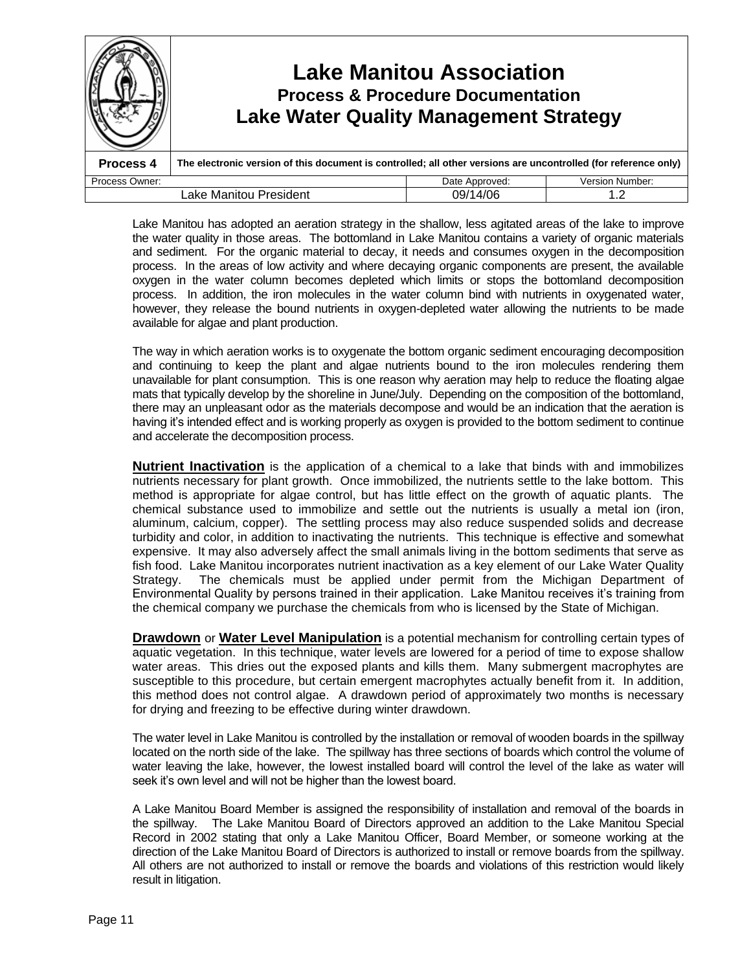|                                           | <b>Lake Manitou Association</b><br><b>Process &amp; Procedure Documentation</b><br><b>Lake Water Quality Management Strategy</b> |                |                        |
|-------------------------------------------|----------------------------------------------------------------------------------------------------------------------------------|----------------|------------------------|
| Process 4                                 | The electronic version of this document is controlled; all other versions are uncontrolled (for reference only)                  |                |                        |
| Process Owner:                            |                                                                                                                                  | Date Approved: | <b>Version Number:</b> |
| 09/14/06<br>Lake Manitou President<br>1.2 |                                                                                                                                  |                |                        |

Lake Manitou has adopted an aeration strategy in the shallow, less agitated areas of the lake to improve the water quality in those areas. The bottomland in Lake Manitou contains a variety of organic materials and sediment. For the organic material to decay, it needs and consumes oxygen in the decomposition process. In the areas of low activity and where decaying organic components are present, the available oxygen in the water column becomes depleted which limits or stops the bottomland decomposition process. In addition, the iron molecules in the water column bind with nutrients in oxygenated water, however, they release the bound nutrients in oxygen-depleted water allowing the nutrients to be made available for algae and plant production.

The way in which aeration works is to oxygenate the bottom organic sediment encouraging decomposition and continuing to keep the plant and algae nutrients bound to the iron molecules rendering them unavailable for plant consumption. This is one reason why aeration may help to reduce the floating algae mats that typically develop by the shoreline in June/July. Depending on the composition of the bottomland, there may an unpleasant odor as the materials decompose and would be an indication that the aeration is having it's intended effect and is working properly as oxygen is provided to the bottom sediment to continue and accelerate the decomposition process.

**Nutrient Inactivation** is the application of a chemical to a lake that binds with and immobilizes nutrients necessary for plant growth. Once immobilized, the nutrients settle to the lake bottom. This method is appropriate for algae control, but has little effect on the growth of aquatic plants. The chemical substance used to immobilize and settle out the nutrients is usually a metal ion (iron, aluminum, calcium, copper). The settling process may also reduce suspended solids and decrease turbidity and color, in addition to inactivating the nutrients. This technique is effective and somewhat expensive. It may also adversely affect the small animals living in the bottom sediments that serve as fish food. Lake Manitou incorporates nutrient inactivation as a key element of our Lake Water Quality Strategy. The chemicals must be applied under permit from the Michigan Department of Environmental Quality by persons trained in their application. Lake Manitou receives it's training from the chemical company we purchase the chemicals from who is licensed by the State of Michigan.

**Drawdown** or **Water Level Manipulation** is a potential mechanism for controlling certain types of aquatic vegetation. In this technique, water levels are lowered for a period of time to expose shallow water areas. This dries out the exposed plants and kills them. Many submergent macrophytes are susceptible to this procedure, but certain emergent macrophytes actually benefit from it. In addition, this method does not control algae. A drawdown period of approximately two months is necessary for drying and freezing to be effective during winter drawdown.

The water level in Lake Manitou is controlled by the installation or removal of wooden boards in the spillway located on the north side of the lake. The spillway has three sections of boards which control the volume of water leaving the lake, however, the lowest installed board will control the level of the lake as water will seek it's own level and will not be higher than the lowest board.

A Lake Manitou Board Member is assigned the responsibility of installation and removal of the boards in the spillway. The Lake Manitou Board of Directors approved an addition to the Lake Manitou Special Record in 2002 stating that only a Lake Manitou Officer, Board Member, or someone working at the direction of the Lake Manitou Board of Directors is authorized to install or remove boards from the spillway. All others are not authorized to install or remove the boards and violations of this restriction would likely result in litigation.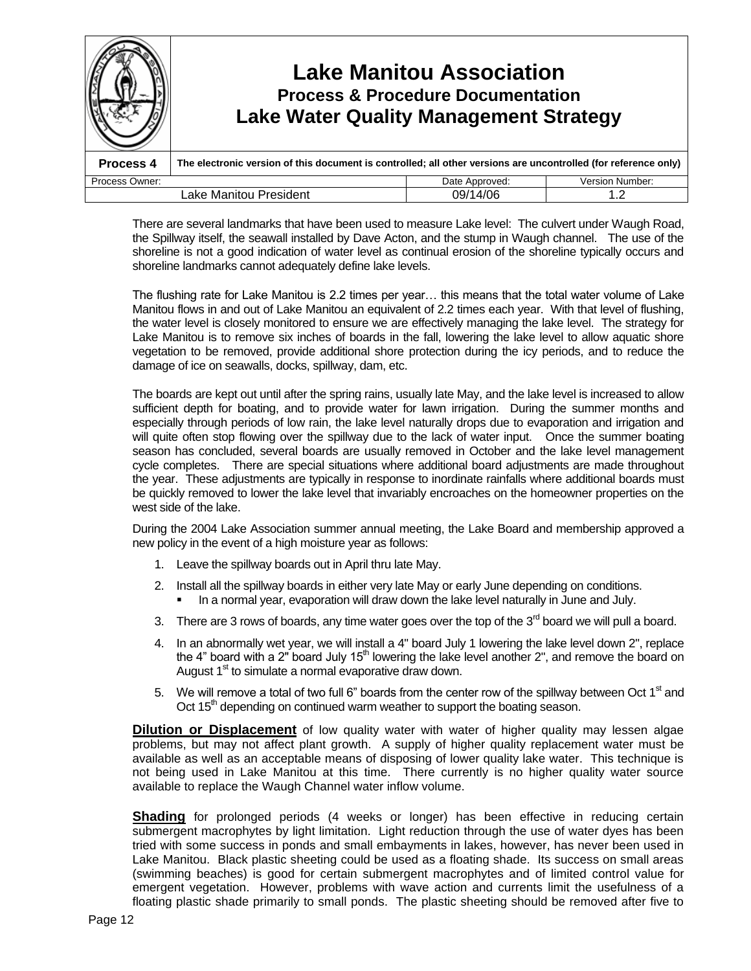|                                    | Lake Manitou Association<br><b>Process &amp; Procedure Documentation</b><br><b>Lake Water Quality Management Strategy</b> |                |                        |
|------------------------------------|---------------------------------------------------------------------------------------------------------------------------|----------------|------------------------|
| Process 4                          | The electronic version of this document is controlled; all other versions are uncontrolled (for reference only)           |                |                        |
| Process Owner:                     |                                                                                                                           | Date Approved: | <b>Version Number:</b> |
| 09/14/06<br>Lake Manitou President |                                                                                                                           |                | 1.2                    |

There are several landmarks that have been used to measure Lake level: The culvert under Waugh Road, the Spillway itself, the seawall installed by Dave Acton, and the stump in Waugh channel. The use of the shoreline is not a good indication of water level as continual erosion of the shoreline typically occurs and shoreline landmarks cannot adequately define lake levels.

The flushing rate for Lake Manitou is 2.2 times per year... this means that the total water volume of Lake Manitou flows in and out of Lake Manitou an equivalent of 2.2 times each year. With that level of flushing, the water level is closely monitored to ensure we are effectively managing the lake level. The strategy for Lake Manitou is to remove six inches of boards in the fall, lowering the lake level to allow aquatic shore vegetation to be removed, provide additional shore protection during the icy periods, and to reduce the damage of ice on seawalls, docks, spillway, dam, etc.

The boards are kept out until after the spring rains, usually late May, and the lake level is increased to allow sufficient depth for boating, and to provide water for lawn irrigation. During the summer months and especially through periods of low rain, the lake level naturally drops due to evaporation and irrigation and will quite often stop flowing over the spillway due to the lack of water input. Once the summer boating season has concluded, several boards are usually removed in October and the lake level management cycle completes. There are special situations where additional board adjustments are made throughout the year. These adjustments are typically in response to inordinate rainfalls where additional boards must be quickly removed to lower the lake level that invariably encroaches on the homeowner properties on the west side of the lake.

During the 2004 Lake Association summer annual meeting, the Lake Board and membership approved a new policy in the event of a high moisture year as follows:

- 1. Leave the spillway boards out in April thru late May.
- 2. Install all the spillway boards in either very late May or early June depending on conditions. In a normal year, evaporation will draw down the lake level naturally in June and July.
- 3. There are 3 rows of boards, any time water goes over the top of the  $3<sup>rd</sup>$  board we will pull a board.
- 4. In an abnormally wet year, we will install a 4" board July 1 lowering the lake level down 2", replace the 4" board with a 2" board July  $15<sup>th</sup>$  lowering the lake level another 2", and remove the board on August  $1<sup>st</sup>$  to simulate a normal evaporative draw down.
- 5. We will remove a total of two full 6" boards from the center row of the spillway between Oct 1<sup>st</sup> and Oct 15<sup>th</sup> depending on continued warm weather to support the boating season.

**Dilution or Displacement** of low quality water with water of higher quality may lessen algae problems, but may not affect plant growth. A supply of higher quality replacement water must be available as well as an acceptable means of disposing of lower quality lake water. This technique is not being used in Lake Manitou at this time. There currently is no higher quality water source available to replace the Waugh Channel water inflow volume.

**Shading** for prolonged periods (4 weeks or longer) has been effective in reducing certain submergent macrophytes by light limitation. Light reduction through the use of water dyes has been tried with some success in ponds and small embayments in lakes, however, has never been used in Lake Manitou. Black plastic sheeting could be used as a floating shade. Its success on small areas (swimming beaches) is good for certain submergent macrophytes and of limited control value for emergent vegetation. However, problems with wave action and currents limit the usefulness of a floating plastic shade primarily to small ponds. The plastic sheeting should be removed after five to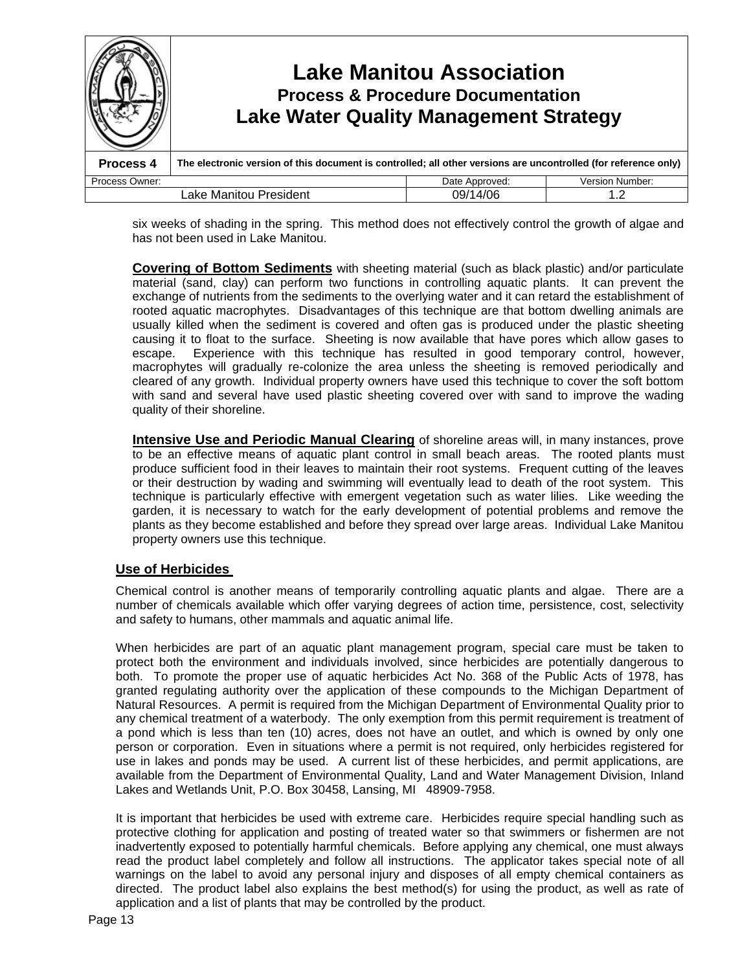

six weeks of shading in the spring. This method does not effectively control the growth of algae and has not been used in Lake Manitou.

**Covering of Bottom Sediments** with sheeting material (such as black plastic) and/or particulate material (sand, clay) can perform two functions in controlling aquatic plants. It can prevent the exchange of nutrients from the sediments to the overlying water and it can retard the establishment of rooted aquatic macrophytes. Disadvantages of this technique are that bottom dwelling animals are usually killed when the sediment is covered and often gas is produced under the plastic sheeting causing it to float to the surface. Sheeting is now available that have pores which allow gases to escape. Experience with this technique has resulted in good temporary control, however, macrophytes will gradually re-colonize the area unless the sheeting is removed periodically and cleared of any growth. Individual property owners have used this technique to cover the soft bottom with sand and several have used plastic sheeting covered over with sand to improve the wading quality of their shoreline.

**Intensive Use and Periodic Manual Clearing** of shoreline areas will, in many instances, prove to be an effective means of aquatic plant control in small beach areas. The rooted plants must produce sufficient food in their leaves to maintain their root systems. Frequent cutting of the leaves or their destruction by wading and swimming will eventually lead to death of the root system. This technique is particularly effective with emergent vegetation such as water lilies. Like weeding the garden, it is necessary to watch for the early development of potential problems and remove the plants as they become established and before they spread over large areas. Individual Lake Manitou property owners use this technique.

## **Use of Herbicides**

Chemical control is another means of temporarily controlling aquatic plants and algae. There are a number of chemicals available which offer varying degrees of action time, persistence, cost, selectivity and safety to humans, other mammals and aquatic animal life.

When herbicides are part of an aquatic plant management program, special care must be taken to protect both the environment and individuals involved, since herbicides are potentially dangerous to both. To promote the proper use of aquatic herbicides Act No. 368 of the Public Acts of 1978, has granted regulating authority over the application of these compounds to the Michigan Department of Natural Resources. A permit is required from the Michigan Department of Environmental Quality prior to any chemical treatment of a waterbody. The only exemption from this permit requirement is treatment of a pond which is less than ten (10) acres, does not have an outlet, and which is owned by only one person or corporation. Even in situations where a permit is not required, only herbicides registered for use in lakes and ponds may be used. A current list of these herbicides, and permit applications, are available from the Department of Environmental Quality, Land and Water Management Division, Inland Lakes and Wetlands Unit, P.O. Box 30458, Lansing, MI 48909-7958.

It is important that herbicides be used with extreme care. Herbicides require special handling such as protective clothing for application and posting of treated water so that swimmers or fishermen are not inadvertently exposed to potentially harmful chemicals. Before applying any chemical, one must always read the product label completely and follow all instructions. The applicator takes special note of all warnings on the label to avoid any personal injury and disposes of all empty chemical containers as directed. The product label also explains the best method(s) for using the product, as well as rate of application and a list of plants that may be controlled by the product.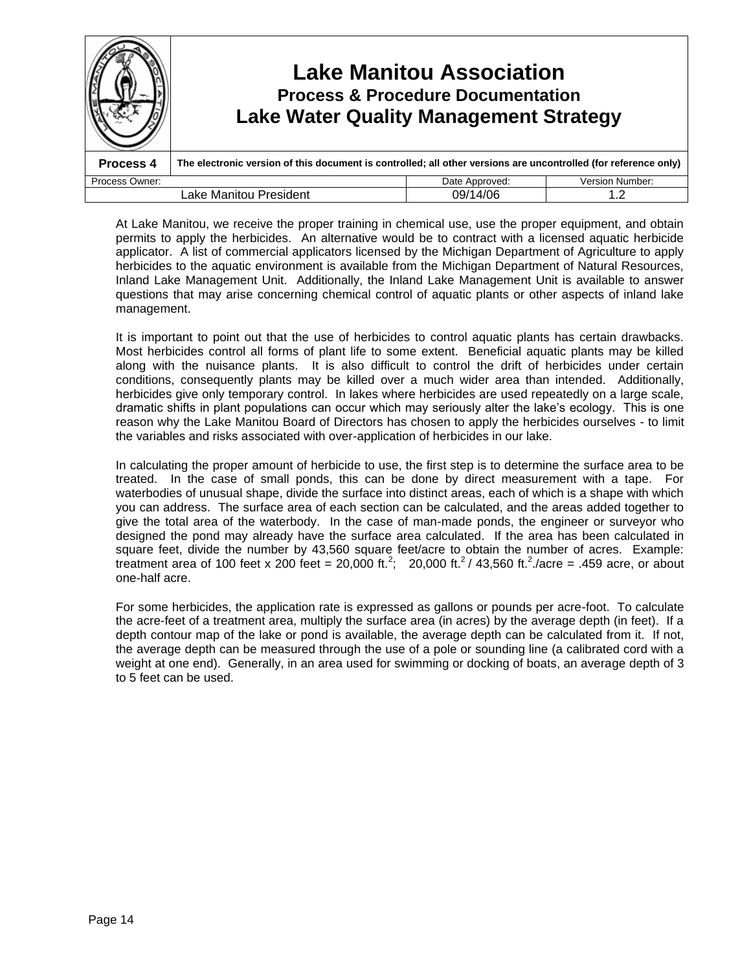|                                           | <b>Lake Water Quality Management Strategy</b>                                                                   | <b>Lake Manitou Association</b><br><b>Process &amp; Procedure Documentation</b> |                        |
|-------------------------------------------|-----------------------------------------------------------------------------------------------------------------|---------------------------------------------------------------------------------|------------------------|
| Process 4                                 | The electronic version of this document is controlled; all other versions are uncontrolled (for reference only) |                                                                                 |                        |
| Process Owner:                            |                                                                                                                 | Date Approved:                                                                  | <b>Version Number:</b> |
| 09/14/06<br>Lake Manitou President<br>1.2 |                                                                                                                 |                                                                                 |                        |

At Lake Manitou, we receive the proper training in chemical use, use the proper equipment, and obtain permits to apply the herbicides. An alternative would be to contract with a licensed aquatic herbicide applicator. A list of commercial applicators licensed by the Michigan Department of Agriculture to apply herbicides to the aquatic environment is available from the Michigan Department of Natural Resources, Inland Lake Management Unit. Additionally, the Inland Lake Management Unit is available to answer questions that may arise concerning chemical control of aquatic plants or other aspects of inland lake management.

It is important to point out that the use of herbicides to control aquatic plants has certain drawbacks. Most herbicides control all forms of plant life to some extent. Beneficial aquatic plants may be killed along with the nuisance plants. It is also difficult to control the drift of herbicides under certain conditions, consequently plants may be killed over a much wider area than intended. Additionally, herbicides give only temporary control. In lakes where herbicides are used repeatedly on a large scale, dramatic shifts in plant populations can occur which may seriously alter the lake's ecology. This is one reason why the Lake Manitou Board of Directors has chosen to apply the herbicides ourselves - to limit the variables and risks associated with over-application of herbicides in our lake.

In calculating the proper amount of herbicide to use, the first step is to determine the surface area to be treated. In the case of small ponds, this can be done by direct measurement with a tape. For waterbodies of unusual shape, divide the surface into distinct areas, each of which is a shape with which you can address. The surface area of each section can be calculated, and the areas added together to give the total area of the waterbody. In the case of man-made ponds, the engineer or surveyor who designed the pond may already have the surface area calculated. If the area has been calculated in square feet, divide the number by 43,560 square feet/acre to obtain the number of acres. Example: treatment area of 100 feet x 200 feet = 20,000 ft.<sup>2</sup>; 20,000 ft.<sup>2</sup> / 43,560 ft.<sup>2</sup> / acre = .459 acre, or about one-half acre.

For some herbicides, the application rate is expressed as gallons or pounds per acre-foot. To calculate the acre-feet of a treatment area, multiply the surface area (in acres) by the average depth (in feet). If a depth contour map of the lake or pond is available, the average depth can be calculated from it. If not, the average depth can be measured through the use of a pole or sounding line (a calibrated cord with a weight at one end). Generally, in an area used for swimming or docking of boats, an average depth of 3 to 5 feet can be used.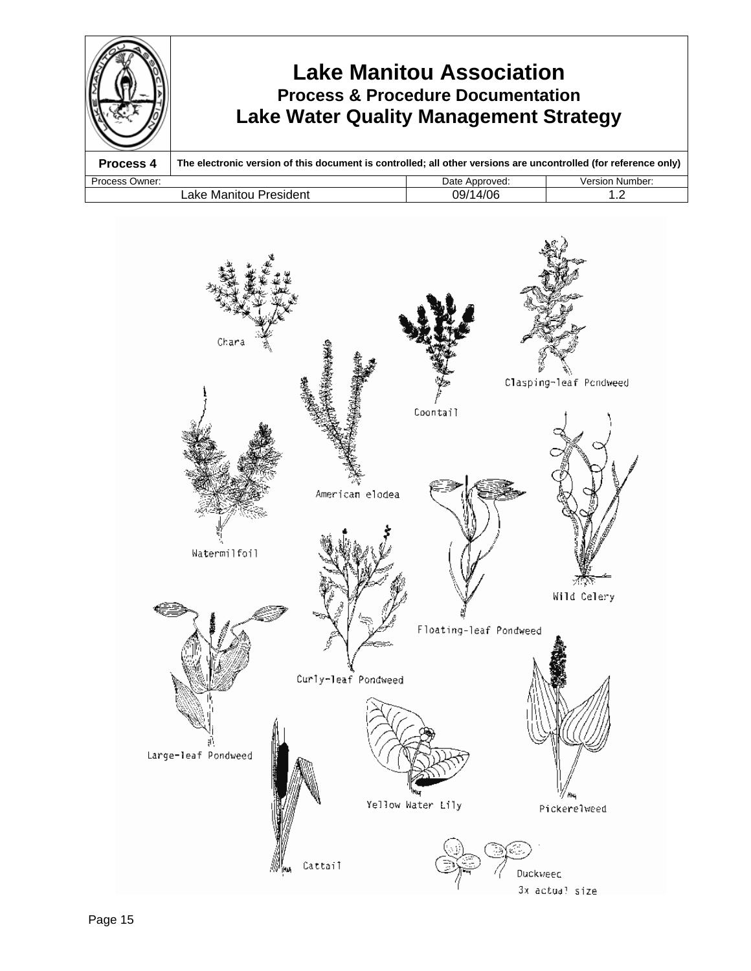

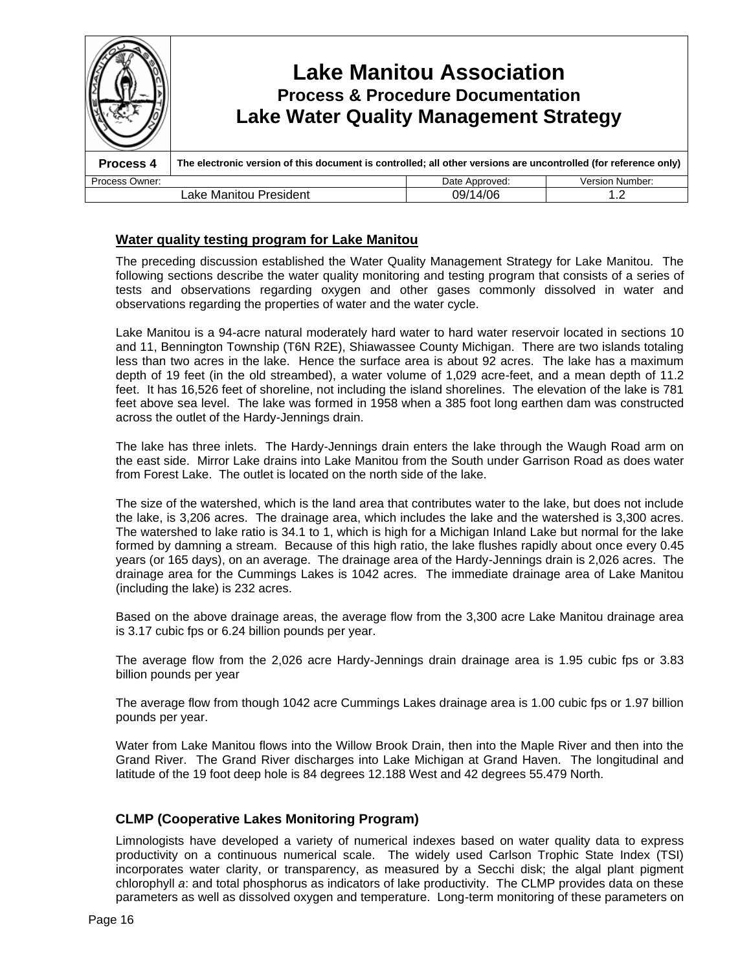|                                           | <b>Lake Manitou Association</b><br><b>Process &amp; Procedure Documentation</b><br><b>Lake Water Quality Management Strategy</b> |                |                        |
|-------------------------------------------|----------------------------------------------------------------------------------------------------------------------------------|----------------|------------------------|
| Process 4                                 | The electronic version of this document is controlled; all other versions are uncontrolled (for reference only)                  |                |                        |
| Process Owner:                            |                                                                                                                                  | Date Approved: | <b>Version Number:</b> |
| 09/14/06<br>Lake Manitou President<br>1.2 |                                                                                                                                  |                |                        |

## **Water quality testing program for Lake Manitou**

The preceding discussion established the Water Quality Management Strategy for Lake Manitou. The following sections describe the water quality monitoring and testing program that consists of a series of tests and observations regarding oxygen and other gases commonly dissolved in water and observations regarding the properties of water and the water cycle.

Lake Manitou is a 94-acre natural moderately hard water to hard water reservoir located in sections 10 and 11, Bennington Township (T6N R2E), Shiawassee County Michigan. There are two islands totaling less than two acres in the lake. Hence the surface area is about 92 acres. The lake has a maximum depth of 19 feet (in the old streambed), a water volume of 1,029 acre-feet, and a mean depth of 11.2 feet. It has 16,526 feet of shoreline, not including the island shorelines. The elevation of the lake is 781 feet above sea level. The lake was formed in 1958 when a 385 foot long earthen dam was constructed across the outlet of the Hardy-Jennings drain.

The lake has three inlets. The Hardy-Jennings drain enters the lake through the Waugh Road arm on the east side. Mirror Lake drains into Lake Manitou from the South under Garrison Road as does water from Forest Lake. The outlet is located on the north side of the lake.

The size of the watershed, which is the land area that contributes water to the lake, but does not include the lake, is 3,206 acres. The drainage area, which includes the lake and the watershed is 3,300 acres. The watershed to lake ratio is 34.1 to 1, which is high for a Michigan Inland Lake but normal for the lake formed by damning a stream. Because of this high ratio, the lake flushes rapidly about once every 0.45 years (or 165 days), on an average. The drainage area of the Hardy-Jennings drain is 2,026 acres. The drainage area for the Cummings Lakes is 1042 acres. The immediate drainage area of Lake Manitou (including the lake) is 232 acres.

Based on the above drainage areas, the average flow from the 3,300 acre Lake Manitou drainage area is 3.17 cubic fps or 6.24 billion pounds per year.

The average flow from the 2,026 acre Hardy-Jennings drain drainage area is 1.95 cubic fps or 3.83 billion pounds per year

The average flow from though 1042 acre Cummings Lakes drainage area is 1.00 cubic fps or 1.97 billion pounds per year.

Water from Lake Manitou flows into the Willow Brook Drain, then into the Maple River and then into the Grand River. The Grand River discharges into Lake Michigan at Grand Haven. The longitudinal and latitude of the 19 foot deep hole is 84 degrees 12.188 West and 42 degrees 55.479 North.

## **CLMP (Cooperative Lakes Monitoring Program)**

Limnologists have developed a variety of numerical indexes based on water quality data to express productivity on a continuous numerical scale. The widely used Carlson Trophic State Index (TSI) incorporates water clarity, or transparency, as measured by a Secchi disk; the algal plant pigment chlorophyll *a*: and total phosphorus as indicators of lake productivity. The CLMP provides data on these parameters as well as dissolved oxygen and temperature. Long-term monitoring of these parameters on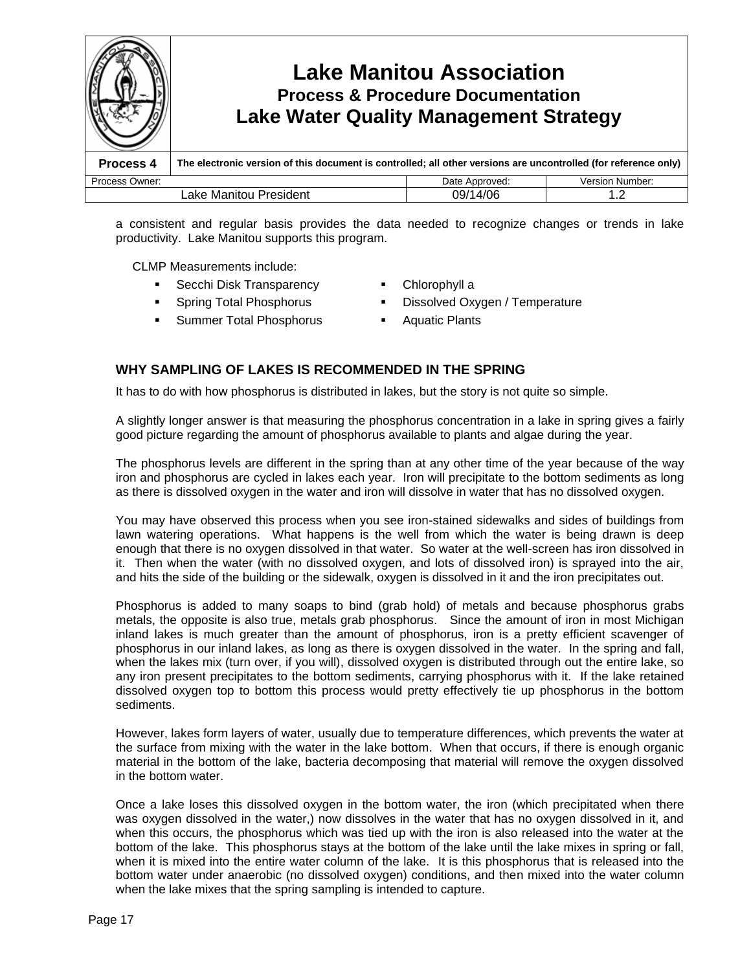

a consistent and regular basis provides the data needed to recognize changes or trends in lake productivity. Lake Manitou supports this program.

CLMP Measurements include:

- Secchi Disk Transparency Chlorophyll a
- 
- Summer Total Phosphorus Aquatic Plants
- 
- Spring Total Phosphorus Dissolved Oxygen / Temperature
	-

## **WHY SAMPLING OF LAKES IS RECOMMENDED IN THE SPRING**

It has to do with how phosphorus is distributed in lakes, but the story is not quite so simple.

A slightly longer answer is that measuring the phosphorus concentration in a lake in spring gives a fairly good picture regarding the amount of phosphorus available to plants and algae during the year.

The phosphorus levels are different in the spring than at any other time of the year because of the way iron and phosphorus are cycled in lakes each year. Iron will precipitate to the bottom sediments as long as there is dissolved oxygen in the water and iron will dissolve in water that has no dissolved oxygen.

You may have observed this process when you see iron-stained sidewalks and sides of buildings from lawn watering operations. What happens is the well from which the water is being drawn is deep enough that there is no oxygen dissolved in that water. So water at the well-screen has iron dissolved in it. Then when the water (with no dissolved oxygen, and lots of dissolved iron) is sprayed into the air, and hits the side of the building or the sidewalk, oxygen is dissolved in it and the iron precipitates out.

Phosphorus is added to many soaps to bind (grab hold) of metals and because phosphorus grabs metals, the opposite is also true, metals grab phosphorus. Since the amount of iron in most Michigan inland lakes is much greater than the amount of phosphorus, iron is a pretty efficient scavenger of phosphorus in our inland lakes, as long as there is oxygen dissolved in the water. In the spring and fall, when the lakes mix (turn over, if you will), dissolved oxygen is distributed through out the entire lake, so any iron present precipitates to the bottom sediments, carrying phosphorus with it. If the lake retained dissolved oxygen top to bottom this process would pretty effectively tie up phosphorus in the bottom sediments.

However, lakes form layers of water, usually due to temperature differences, which prevents the water at the surface from mixing with the water in the lake bottom. When that occurs, if there is enough organic material in the bottom of the lake, bacteria decomposing that material will remove the oxygen dissolved in the bottom water.

Once a lake loses this dissolved oxygen in the bottom water, the iron (which precipitated when there was oxygen dissolved in the water,) now dissolves in the water that has no oxygen dissolved in it, and when this occurs, the phosphorus which was tied up with the iron is also released into the water at the bottom of the lake. This phosphorus stays at the bottom of the lake until the lake mixes in spring or fall, when it is mixed into the entire water column of the lake. It is this phosphorus that is released into the bottom water under anaerobic (no dissolved oxygen) conditions, and then mixed into the water column when the lake mixes that the spring sampling is intended to capture.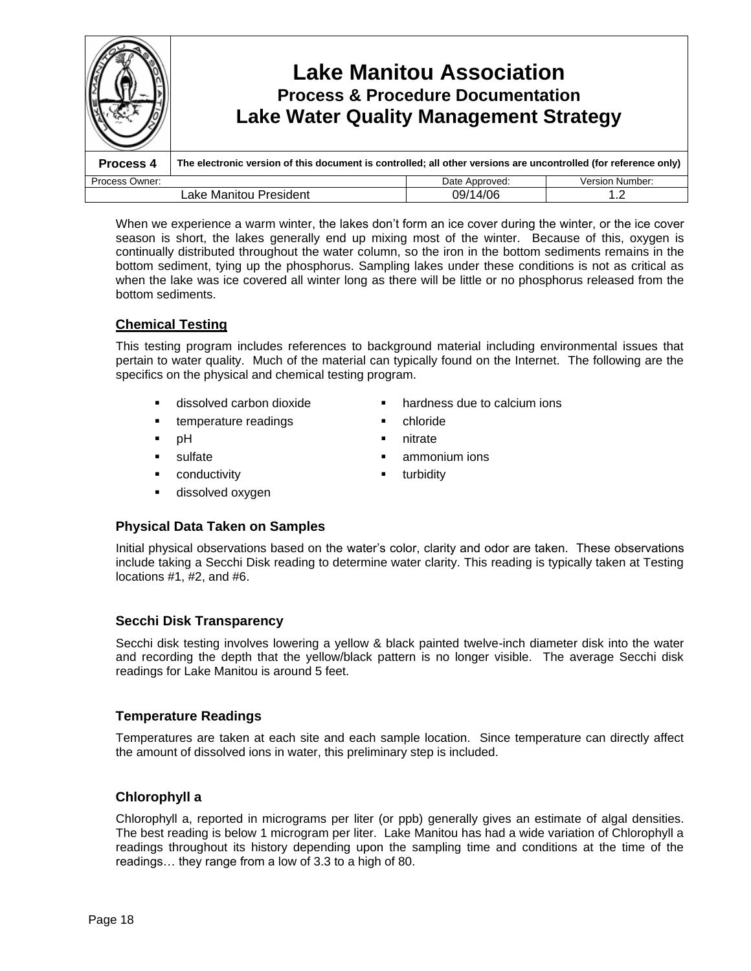

When we experience a warm winter, the lakes don't form an ice cover during the winter, or the ice cover season is short, the lakes generally end up mixing most of the winter. Because of this, oxygen is continually distributed throughout the water column, so the iron in the bottom sediments remains in the bottom sediment, tying up the phosphorus. Sampling lakes under these conditions is not as critical as when the lake was ice covered all winter long as there will be little or no phosphorus released from the bottom sediments.

## **Chemical Testing**

This testing program includes references to background material including environmental issues that pertain to water quality. Much of the material can typically found on the Internet. The following are the specifics on the physical and chemical testing program.

- 
- **temperature readings chloride**
- 
- 
- **EXECUTE:** Conductivity **turbidity turbidity**
- dissolved oxygen
- dissolved carbon dioxide hardness due to calcium ions
	-
- pH nitrate
- **sulfate** sulfate **ammonium** ions
	-
- **Physical Data Taken on Samples**

Initial physical observations based on the water's color, clarity and odor are taken. These observations include taking a Secchi Disk reading to determine water clarity. This reading is typically taken at Testing locations #1, #2, and #6.

## **Secchi Disk Transparency**

Secchi disk testing involves lowering a yellow & black painted twelve-inch diameter disk into the water and recording the depth that the yellow/black pattern is no longer visible. The average Secchi disk readings for Lake Manitou is around 5 feet.

## **Temperature Readings**

Temperatures are taken at each site and each sample location. Since temperature can directly affect the amount of dissolved ions in water, this preliminary step is included.

## **Chlorophyll a**

Chlorophyll a, reported in micrograms per liter (or ppb) generally gives an estimate of algal densities. The best reading is below 1 microgram per liter. Lake Manitou has had a wide variation of Chlorophyll a readings throughout its history depending upon the sampling time and conditions at the time of the readings... they range from a low of 3.3 to a high of 80.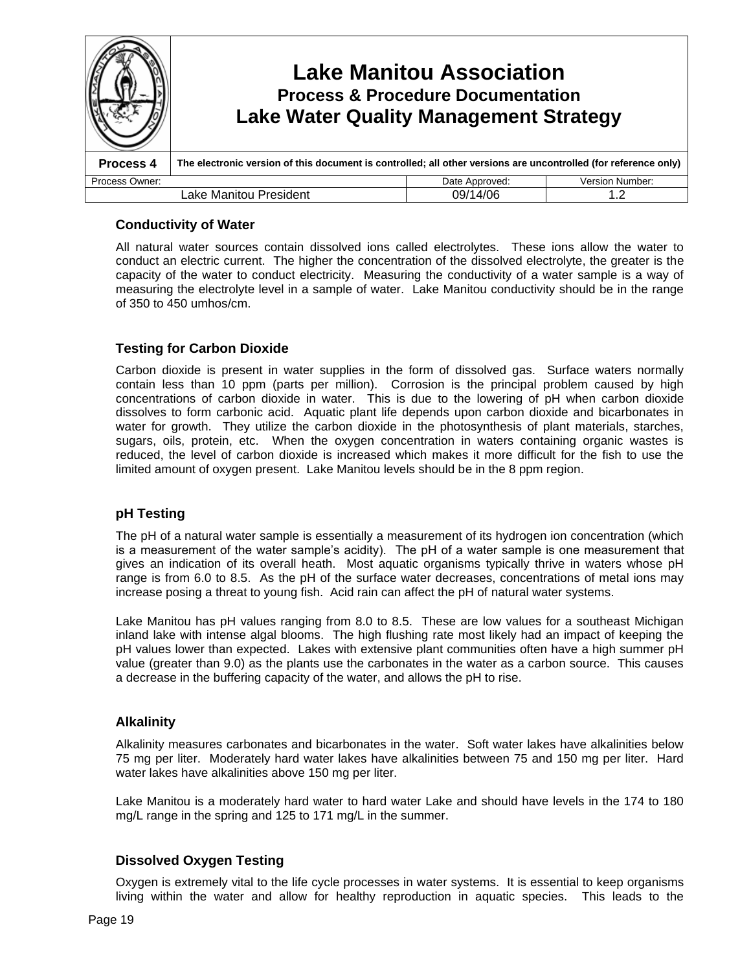

## **Conductivity of Water**

All natural water sources contain dissolved ions called electrolytes. These ions allow the water to conduct an electric current. The higher the concentration of the dissolved electrolyte, the greater is the capacity of the water to conduct electricity. Measuring the conductivity of a water sample is a way of measuring the electrolyte level in a sample of water. Lake Manitou conductivity should be in the range of 350 to 450 umhos/cm.

## **Testing for Carbon Dioxide**

Carbon dioxide is present in water supplies in the form of dissolved gas. Surface waters normally contain less than 10 ppm (parts per million). Corrosion is the principal problem caused by high concentrations of carbon dioxide in water. This is due to the lowering of pH when carbon dioxide dissolves to form carbonic acid. Aquatic plant life depends upon carbon dioxide and bicarbonates in water for growth. They utilize the carbon dioxide in the photosynthesis of plant materials, starches, sugars, oils, protein, etc. When the oxygen concentration in waters containing organic wastes is reduced, the level of carbon dioxide is increased which makes it more difficult for the fish to use the limited amount of oxygen present. Lake Manitou levels should be in the 8 ppm region.

## **pH Testing**

The pH of a natural water sample is essentially a measurement of its hydrogen ion concentration (which is a measurement of the water sample's acidity). The pH of a water sample is one measurement that gives an indication of its overall heath. Most aquatic organisms typically thrive in waters whose pH range is from 6.0 to 8.5. As the pH of the surface water decreases, concentrations of metal ions may increase posing a threat to young fish. Acid rain can affect the pH of natural water systems.

Lake Manitou has pH values ranging from 8.0 to 8.5. These are low values for a southeast Michigan inland lake with intense algal blooms. The high flushing rate most likely had an impact of keeping the pH values lower than expected. Lakes with extensive plant communities often have a high summer pH value (greater than 9.0) as the plants use the carbonates in the water as a carbon source. This causes a decrease in the buffering capacity of the water, and allows the pH to rise.

## **Alkalinity**

Alkalinity measures carbonates and bicarbonates in the water. Soft water lakes have alkalinities below 75 mg per liter. Moderately hard water lakes have alkalinities between 75 and 150 mg per liter. Hard water lakes have alkalinities above 150 mg per liter.

Lake Manitou is a moderately hard water to hard water Lake and should have levels in the 174 to 180 mg/L range in the spring and 125 to 171 mg/L in the summer.

## **Dissolved Oxygen Testing**

Oxygen is extremely vital to the life cycle processes in water systems. It is essential to keep organisms living within the water and allow for healthy reproduction in aquatic species. This leads to the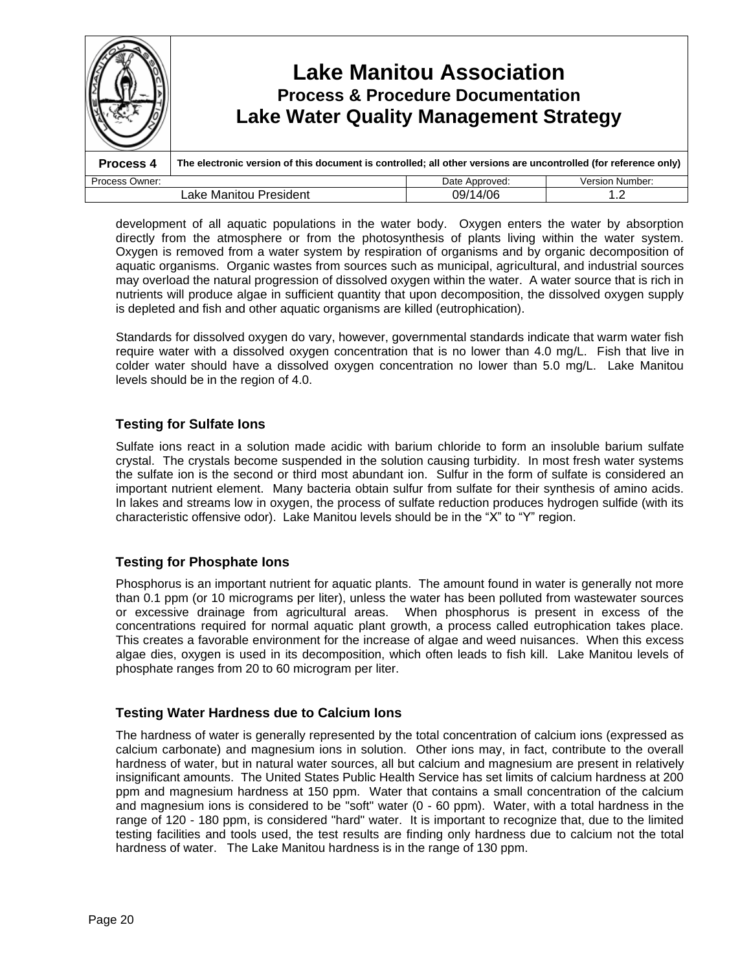

development of all aquatic populations in the water body. Oxygen enters the water by absorption directly from the atmosphere or from the photosynthesis of plants living within the water system. Oxygen is removed from a water system by respiration of organisms and by organic decomposition of aquatic organisms. Organic wastes from sources such as municipal, agricultural, and industrial sources may overload the natural progression of dissolved oxygen within the water. A water source that is rich in nutrients will produce algae in sufficient quantity that upon decomposition, the dissolved oxygen supply is depleted and fish and other aquatic organisms are killed (eutrophication).

Standards for dissolved oxygen do vary, however, governmental standards indicate that warm water fish require water with a dissolved oxygen concentration that is no lower than 4.0 mg/L. Fish that live in colder water should have a dissolved oxygen concentration no lower than 5.0 mg/L. Lake Manitou levels should be in the region of 4.0.

## **Testing for Sulfate Ions**

Sulfate ions react in a solution made acidic with barium chloride to form an insoluble barium sulfate crystal. The crystals become suspended in the solution causing turbidity. In most fresh water systems the sulfate ion is the second or third most abundant ion. Sulfur in the form of sulfate is considered an important nutrient element. Many bacteria obtain sulfur from sulfate for their synthesis of amino acids. In lakes and streams low in oxygen, the process of sulfate reduction produces hydrogen sulfide (with its characteristic offensive odor). Lake Manitou levels should be in the "X" to "Y" region.

## **Testing for Phosphate Ions**

Phosphorus is an important nutrient for aquatic plants. The amount found in water is generally not more than 0.1 ppm (or 10 micrograms per liter), unless the water has been polluted from wastewater sources or excessive drainage from agricultural areas. When phosphorus is present in excess of the concentrations required for normal aquatic plant growth, a process called eutrophication takes place. This creates a favorable environment for the increase of algae and weed nuisances. When this excess algae dies, oxygen is used in its decomposition, which often leads to fish kill. Lake Manitou levels of phosphate ranges from 20 to 60 microgram per liter.

## **Testing Water Hardness due to Calcium Ions**

The hardness of water is generally represented by the total concentration of calcium ions (expressed as calcium carbonate) and magnesium ions in solution. Other ions may, in fact, contribute to the overall hardness of water, but in natural water sources, all but calcium and magnesium are present in relatively insignificant amounts. The United States Public Health Service has set limits of calcium hardness at 200 ppm and magnesium hardness at 150 ppm. Water that contains a small concentration of the calcium and magnesium ions is considered to be "soft" water (0 - 60 ppm). Water, with a total hardness in the range of 120 - 180 ppm, is considered "hard" water. It is important to recognize that, due to the limited testing facilities and tools used, the test results are finding only hardness due to calcium not the total hardness of water. The Lake Manitou hardness is in the range of 130 ppm.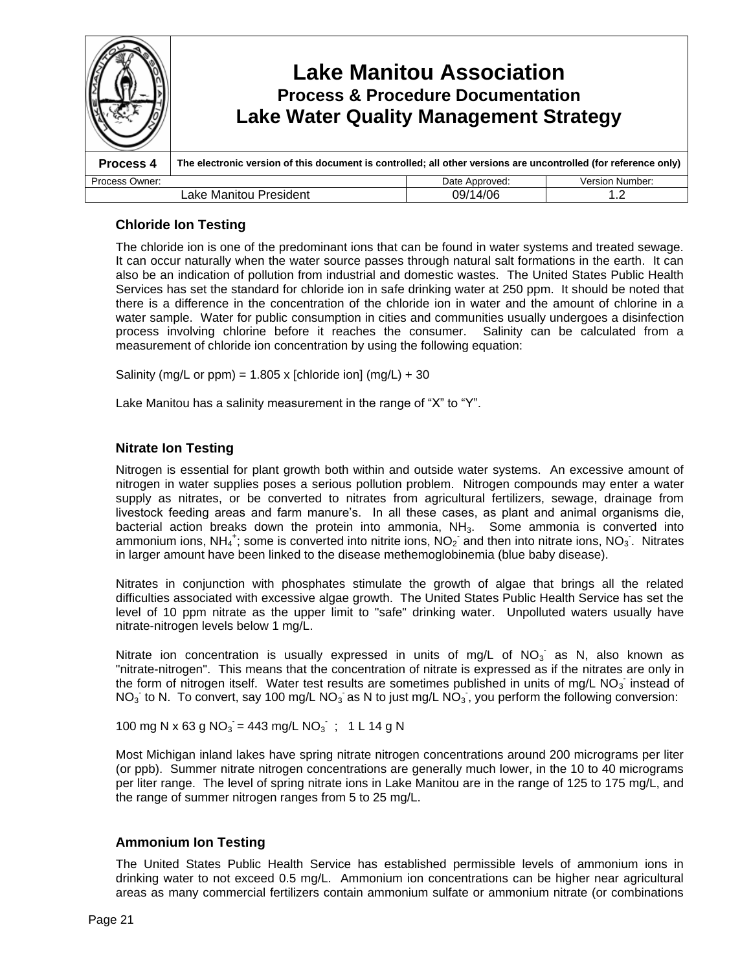

## **Chloride Ion Testing**

The chloride ion is one of the predominant ions that can be found in water systems and treated sewage. It can occur naturally when the water source passes through natural salt formations in the earth. It can also be an indication of pollution from industrial and domestic wastes. The United States Public Health Services has set the standard for chloride ion in safe drinking water at 250 ppm. It should be noted that there is a difference in the concentration of the chloride ion in water and the amount of chlorine in a water sample. Water for public consumption in cities and communities usually undergoes a disinfection process involving chlorine before it reaches the consumer. Salinity can be calculated from a measurement of chloride ion concentration by using the following equation:

Salinity (mg/L or ppm) =  $1.805$  x [chloride ion] (mg/L) + 30

Lake Manitou has a salinity measurement in the range of "X" to "Y".

## **Nitrate Ion Testing**

Nitrogen is essential for plant growth both within and outside water systems. An excessive amount of nitrogen in water supplies poses a serious pollution problem. Nitrogen compounds may enter a water supply as nitrates, or be converted to nitrates from agricultural fertilizers, sewage, drainage from livestock feeding areas and farm manure's. In all these cases, as plant and animal organisms die, bacterial action breaks down the protein into ammonia,  $NH<sub>3</sub>$ . Some ammonia is converted into ammonium ions, NH<sub>4</sub><sup>+</sup>; some is converted into nitrite ions, NO<sub>2</sub> and then into nitrate ions, NO<sub>3</sub>. Nitrates in larger amount have been linked to the disease methemoglobinemia (blue baby disease).

Nitrates in conjunction with phosphates stimulate the growth of algae that brings all the related difficulties associated with excessive algae growth. The United States Public Health Service has set the level of 10 ppm nitrate as the upper limit to "safe" drinking water. Unpolluted waters usually have nitrate-nitrogen levels below 1 mg/L.

Nitrate ion concentration is usually expressed in units of mg/L of  $NO<sub>3</sub>$  as N, also known as "nitrate-nitrogen". This means that the concentration of nitrate is expressed as if the nitrates are only in the form of nitrogen itself. Water test results are sometimes published in units of mg/L NO<sub>3</sub> instead of NO<sub>3</sub> to N. To convert, say 100 mg/L NO<sub>3</sub> as N to just mg/L NO<sub>3</sub>, you perform the following conversion:

100 mg N x 63 g NO<sub>3</sub> = 443 mg/L NO<sub>3</sub>; 1 L 14 g N

Most Michigan inland lakes have spring nitrate nitrogen concentrations around 200 micrograms per liter (or ppb). Summer nitrate nitrogen concentrations are generally much lower, in the 10 to 40 micrograms per liter range. The level of spring nitrate ions in Lake Manitou are in the range of 125 to 175 mg/L, and the range of summer nitrogen ranges from 5 to 25 mg/L.

## **Ammonium Ion Testing**

The United States Public Health Service has established permissible levels of ammonium ions in drinking water to not exceed 0.5 mg/L. Ammonium ion concentrations can be higher near agricultural areas as many commercial fertilizers contain ammonium sulfate or ammonium nitrate (or combinations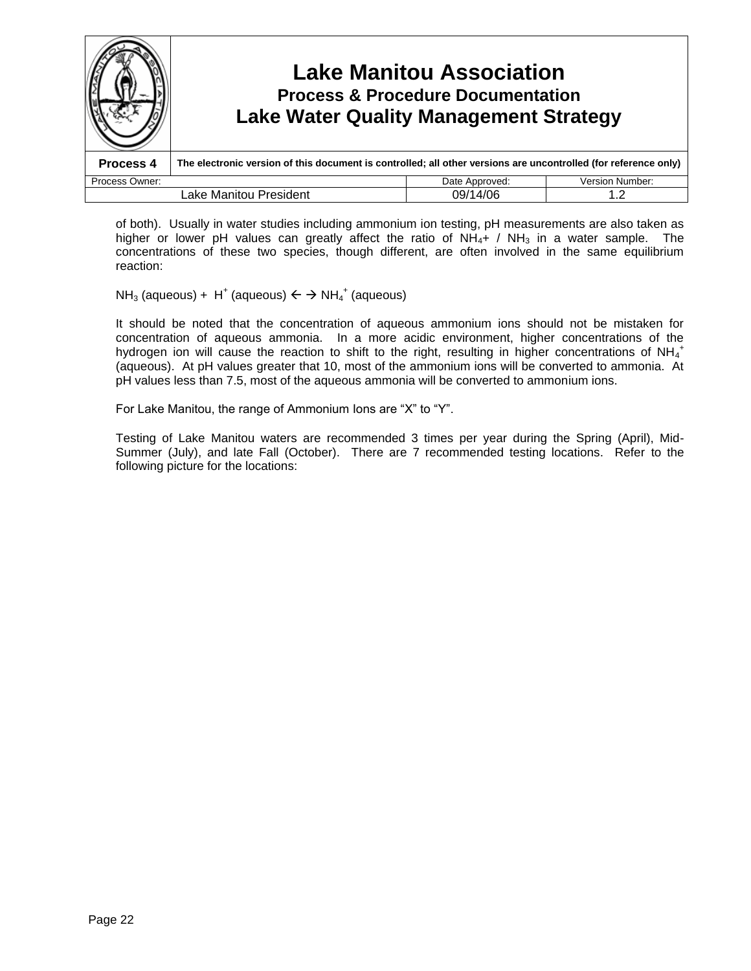

of both). Usually in water studies including ammonium ion testing, pH measurements are also taken as higher or lower pH values can greatly affect the ratio of  $NH<sub>4</sub> + / NH<sub>3</sub>$  in a water sample. The concentrations of these two species, though different, are often involved in the same equilibrium reaction:

 $NH<sub>3</sub>$  (aqueous) + H<sup>+</sup> (aqueous)  $\leftarrow$   $\rightarrow$  NH<sub>4</sub><sup>+</sup> (aqueous)

It should be noted that the concentration of aqueous ammonium ions should not be mistaken for concentration of aqueous ammonia. In a more acidic environment, higher concentrations of the hydrogen ion will cause the reaction to shift to the right, resulting in higher concentrations of NH $_4^+$ (aqueous). At pH values greater that 10, most of the ammonium ions will be converted to ammonia. At pH values less than 7.5, most of the aqueous ammonia will be converted to ammonium ions.

For Lake Manitou, the range of Ammonium Ions are "X" to "Y".

Testing of Lake Manitou waters are recommended 3 times per year during the Spring (April), Mid-Summer (July), and late Fall (October). There are 7 recommended testing locations. Refer to the following picture for the locations: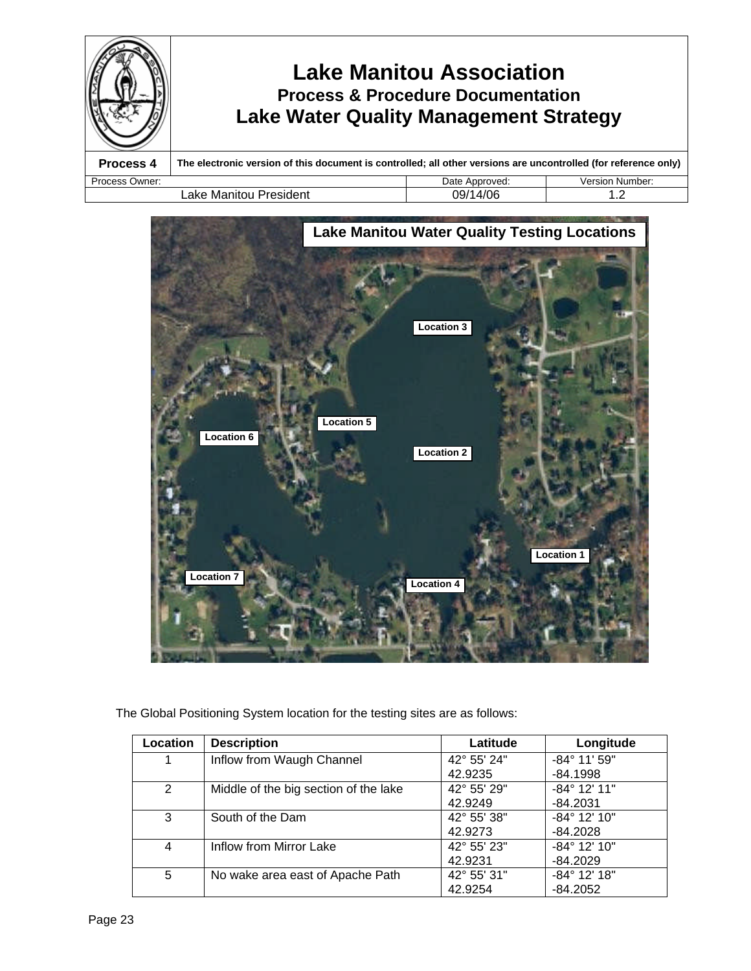



| Location | <b>Description</b>                    | Latitude    | Longitude             |
|----------|---------------------------------------|-------------|-----------------------|
|          | Inflow from Waugh Channel             | 42° 55' 24" | $-84^{\circ}$ 11' 59" |
|          |                                       | 42.9235     | $-84.1998$            |
| 2        | Middle of the big section of the lake | 42° 55' 29" | $-84^{\circ}$ 12' 11" |
|          |                                       | 42.9249     | $-84.2031$            |
| 3        | South of the Dam                      | 42° 55' 38" | $-84^{\circ}$ 12' 10" |
|          |                                       | 42.9273     | $-84.2028$            |
| 4        | Inflow from Mirror Lake               | 42° 55' 23" | $-84^{\circ}$ 12' 10" |
|          |                                       | 42.9231     | $-84.2029$            |
| 5        | No wake area east of Apache Path      | 42° 55' 31" | $-84^{\circ}$ 12' 18" |
|          |                                       | 42.9254     | $-84.2052$            |

The Global Positioning System location for the testing sites are as follows: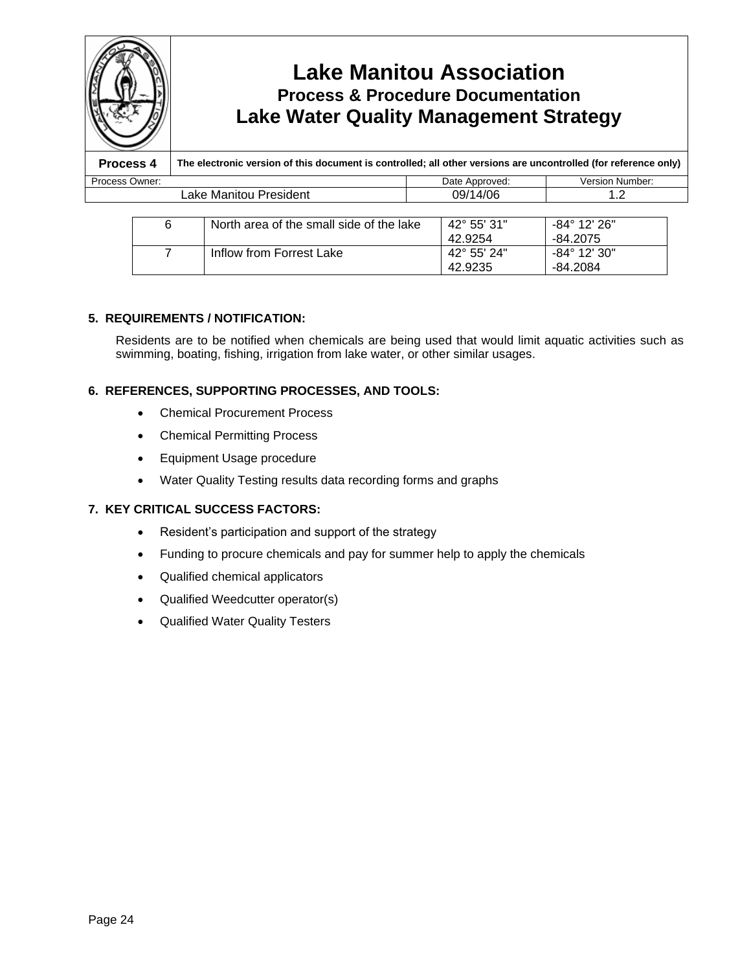

# **Lake Manitou Association Process & Procedure Documentation Lake Water Quality Management Strategy**

**Process 4 The electronic version of this document is controlled; all other versions are uncontrolled (for reference only)** Process Owner: **Date Approved:** Date Approved: Version Number: Lake Manitou President  $\vert$  09/14/06  $\vert$  1.2

| 6 | North area of the small side of the lake | $42^{\circ}$ 55' 31" | $-84^{\circ}$ 12' 26" |
|---|------------------------------------------|----------------------|-----------------------|
|   |                                          | 42.9254              | -84.2075              |
|   | Inflow from Forrest Lake                 | $42^{\circ}$ 55' 24" | -84° 12' 30"          |
|   |                                          | 42.9235              | -84.2084              |

## **5. REQUIREMENTS / NOTIFICATION:**

Residents are to be notified when chemicals are being used that would limit aquatic activities such as swimming, boating, fishing, irrigation from lake water, or other similar usages.

## **6. REFERENCES, SUPPORTING PROCESSES, AND TOOLS:**

- Chemical Procurement Process
- Chemical Permitting Process
- Equipment Usage procedure
- Water Quality Testing results data recording forms and graphs

## **7. KEY CRITICAL SUCCESS FACTORS:**

- Resident's participation and support of the strategy
- Funding to procure chemicals and pay for summer help to apply the chemicals
- Qualified chemical applicators
- Qualified Weedcutter operator(s)
- Qualified Water Quality Testers